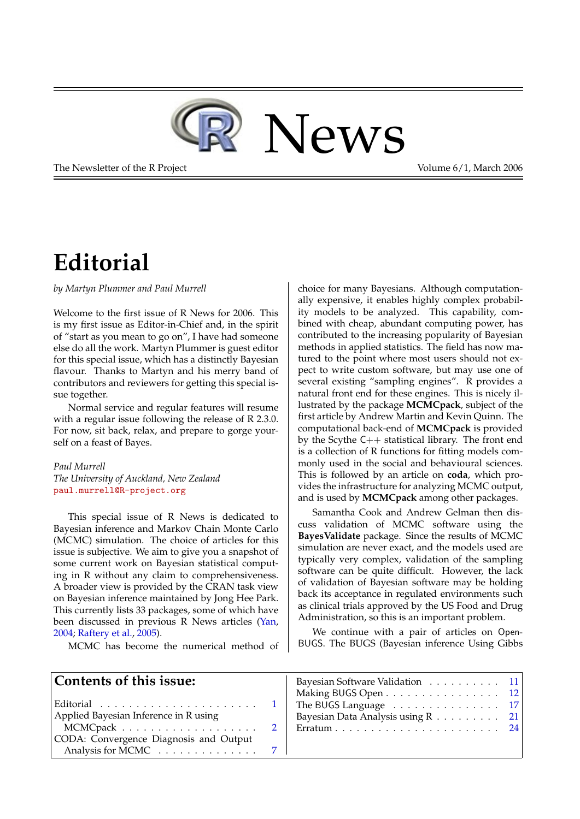

<span id="page-0-1"></span>The Newsletter of the R Project **Volume 6/1, March 2006** 

## **Editorial**

<span id="page-0-0"></span>*by Martyn Plummer and Paul Murrell*

Welcome to the first issue of R News for 2006. This is my first issue as Editor-in-Chief and, in the spirit of "start as you mean to go on", I have had someone else do all the work. Martyn Plummer is guest editor for this special issue, which has a distinctly Bayesian flavour. Thanks to Martyn and his merry band of contributors and reviewers for getting this special issue together.

Normal service and regular features will resume with a regular issue following the release of R 2.3.0. For now, sit back, relax, and prepare to gorge yourself on a feast of Bayes.

#### *Paul Murrell*

*The University of Auckland, New Zealand* [paul.murrell@R-project.org](mailto:paul.murrell@R-project.org)

This special issue of R News is dedicated to Bayesian inference and Markov Chain Monte Carlo (MCMC) simulation. The choice of articles for this issue is subjective. We aim to give you a snapshot of some current work on Bayesian statistical computing in R without any claim to comprehensiveness. A broader view is provided by the CRAN task view on Bayesian inference maintained by Jong Hee Park. This currently lists 33 packages, some of which have been discussed in previous R News articles [\(Yan,](#page-1-0) [2004;](#page-1-0) [Raftery et al.,](#page-1-1) [2005\)](#page-1-1).

MCMC has become the numerical method of

choice for many Bayesians. Although computationally expensive, it enables highly complex probability models to be analyzed. This capability, combined with cheap, abundant computing power, has contributed to the increasing popularity of Bayesian methods in applied statistics. The field has now matured to the point where most users should not expect to write custom software, but may use one of several existing "sampling engines". R provides a natural front end for these engines. This is nicely illustrated by the package **MCMCpack**, subject of the first article by Andrew Martin and Kevin Quinn. The computational back-end of **MCMCpack** is provided by the Scythe C++ statistical library. The front end is a collection of R functions for fitting models commonly used in the social and behavioural sciences. This is followed by an article on **coda**, which provides the infrastructure for analyzing MCMC output, and is used by **MCMCpack** among other packages.

Samantha Cook and Andrew Gelman then discuss validation of MCMC software using the **BayesValidate** package. Since the results of MCMC simulation are never exact, and the models used are typically very complex, validation of the sampling software can be quite difficult. However, the lack of validation of Bayesian software may be holding back its acceptance in regulated environments such as clinical trials approved by the US Food and Drug Administration, so this is an important problem.

We continue with a pair of articles on Open-BUGS. The BUGS (Bayesian inference Using Gibbs

| Contents of this issue:                                                                                          | Bayesian Software Validation $\ldots \ldots \ldots 11$<br>Making BUGS Open $\dots \dots \dots \dots \dots \dots \dots 12$ |  |
|------------------------------------------------------------------------------------------------------------------|---------------------------------------------------------------------------------------------------------------------------|--|
| Editorial $\ldots \ldots \ldots \ldots \ldots \ldots \ldots \ldots 1$  <br>Applied Bayesian Inference in R using | The BUGS Language $\dots \dots \dots \dots \dots \dots \dots 17$<br>Bayesian Data Analysis using R 21                     |  |
| CODA: Convergence Diagnosis and Output<br>Analysis for MCMC $\ldots \ldots \ldots \ldots 7$                      |                                                                                                                           |  |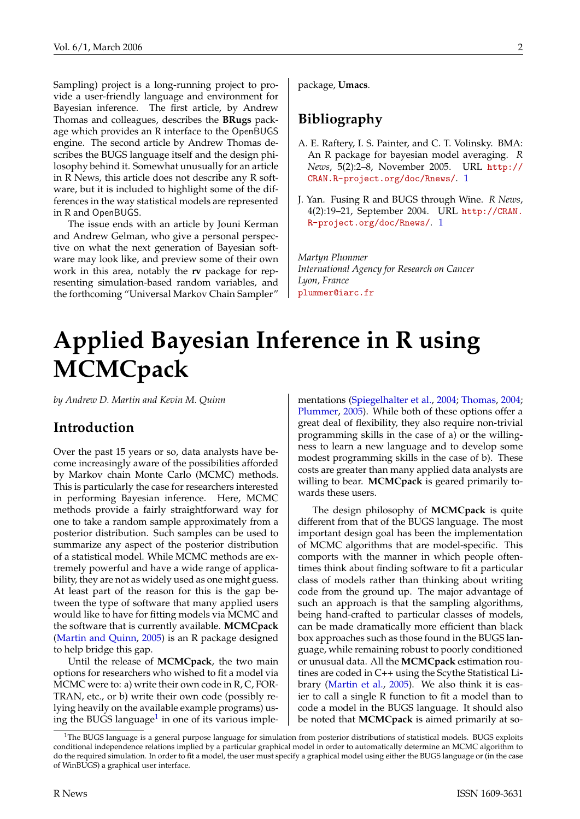<span id="page-1-4"></span>Sampling) project is a long-running project to provide a user-friendly language and environment for Bayesian inference. The first article, by Andrew Thomas and colleagues, describes the **BRugs** package which provides an R interface to the OpenBUGS engine. The second article by Andrew Thomas describes the BUGS language itself and the design philosophy behind it. Somewhat unusually for an article in R News, this article does not describe any R software, but it is included to highlight some of the differences in the way statistical models are represented in R and OpenBUGS.

The issue ends with an article by Jouni Kerman and Andrew Gelman, who give a personal perspective on what the next generation of Bayesian software may look like, and preview some of their own work in this area, notably the **rv** package for representing simulation-based random variables, and the forthcoming "Universal Markov Chain Sampler"

package, **Umacs**.

### **Bibliography**

- <span id="page-1-1"></span>A. E. Raftery, I. S. Painter, and C. T. Volinsky. BMA: An R package for bayesian model averaging. *R News*, 5(2):2–8, November 2005. URL [http://](http://CRAN.R-project.org/doc/Rnews/) [CRAN.R-project.org/doc/Rnews/](http://CRAN.R-project.org/doc/Rnews/). [1](#page-0-1)
- <span id="page-1-0"></span>J. Yan. Fusing R and BUGS through Wine. *R News*, 4(2):19–21, September 2004. URL [http://CRAN.](http://CRAN.R-project.org/doc/Rnews/) [R-project.org/doc/Rnews/](http://CRAN.R-project.org/doc/Rnews/). [1](#page-0-1)

*Martyn Plummer International Agency for Research on Cancer Lyon, France* [plummer@iarc.fr](mailto:plummer@iarc.fr)

# **Applied Bayesian Inference in R using MCMCpack**

<span id="page-1-2"></span>*by Andrew D. Martin and Kevin M. Quinn*

#### **Introduction**

Over the past 15 years or so, data analysts have become increasingly aware of the possibilities afforded by Markov chain Monte Carlo (MCMC) methods. This is particularly the case for researchers interested in performing Bayesian inference. Here, MCMC methods provide a fairly straightforward way for one to take a random sample approximately from a posterior distribution. Such samples can be used to summarize any aspect of the posterior distribution of a statistical model. While MCMC methods are extremely powerful and have a wide range of applicability, they are not as widely used as one might guess. At least part of the reason for this is the gap between the type of software that many applied users would like to have for fitting models via MCMC and the software that is currently available. **MCMCpack** [\(Martin and Quinn,](#page-6-1) [2005\)](#page-6-1) is an R package designed to help bridge this gap.

Until the release of **MCMCpack**, the two main options for researchers who wished to fit a model via MCMC were to: a) write their own code in R, C, FOR-TRAN, etc., or b) write their own code (possibly relying heavily on the available example programs) us-ing the BUGS language<sup>[1](#page-1-3)</sup> in one of its various implementations [\(Spiegelhalter et al.,](#page-6-2) [2004;](#page-6-2) [Thomas,](#page-6-3) [2004;](#page-6-3) [Plummer,](#page-6-4) [2005\)](#page-6-4). While both of these options offer a great deal of flexibility, they also require non-trivial programming skills in the case of a) or the willingness to learn a new language and to develop some modest programming skills in the case of b). These costs are greater than many applied data analysts are willing to bear. **MCMCpack** is geared primarily towards these users.

The design philosophy of **MCMCpack** is quite different from that of the BUGS language. The most important design goal has been the implementation of MCMC algorithms that are model-specific. This comports with the manner in which people oftentimes think about finding software to fit a particular class of models rather than thinking about writing code from the ground up. The major advantage of such an approach is that the sampling algorithms, being hand-crafted to particular classes of models, can be made dramatically more efficient than black box approaches such as those found in the BUGS language, while remaining robust to poorly conditioned or unusual data. All the **MCMCpack** estimation routines are coded in C++ using the Scythe Statistical Library [\(Martin et al.,](#page-6-5) [2005\)](#page-6-5). We also think it is easier to call a single R function to fit a model than to code a model in the BUGS language. It should also be noted that **MCMCpack** is aimed primarily at so-

<span id="page-1-3"></span><sup>&</sup>lt;sup>1</sup>The BUGS language is a general purpose language for simulation from posterior distributions of statistical models. BUGS exploits conditional independence relations implied by a particular graphical model in order to automatically determine an MCMC algorithm to do the required simulation. In order to fit a model, the user must specify a graphical model using either the BUGS language or (in the case of WinBUGS) a graphical user interface.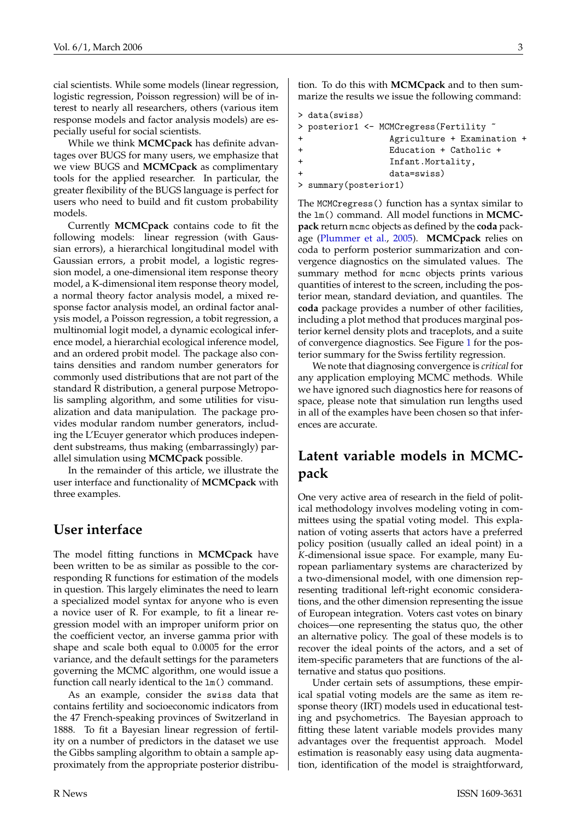<span id="page-2-0"></span>cial scientists. While some models (linear regression, logistic regression, Poisson regression) will be of interest to nearly all researchers, others (various item response models and factor analysis models) are especially useful for social scientists.

While we think **MCMCpack** has definite advantages over BUGS for many users, we emphasize that we view BUGS and **MCMCpack** as complimentary tools for the applied researcher. In particular, the greater flexibility of the BUGS language is perfect for users who need to build and fit custom probability models.

Currently **MCMCpack** contains code to fit the following models: linear regression (with Gaussian errors), a hierarchical longitudinal model with Gaussian errors, a probit model, a logistic regression model, a one-dimensional item response theory model, a K-dimensional item response theory model, a normal theory factor analysis model, a mixed response factor analysis model, an ordinal factor analysis model, a Poisson regression, a tobit regression, a multinomial logit model, a dynamic ecological inference model, a hierarchial ecological inference model, and an ordered probit model. The package also contains densities and random number generators for commonly used distributions that are not part of the standard R distribution, a general purpose Metropolis sampling algorithm, and some utilities for visualization and data manipulation. The package provides modular random number generators, including the L'Ecuyer generator which produces independent substreams, thus making (embarrassingly) parallel simulation using **MCMCpack** possible.

In the remainder of this article, we illustrate the user interface and functionality of **MCMCpack** with three examples.

### **User interface**

The model fitting functions in **MCMCpack** have been written to be as similar as possible to the corresponding R functions for estimation of the models in question. This largely eliminates the need to learn a specialized model syntax for anyone who is even a novice user of R. For example, to fit a linear regression model with an improper uniform prior on the coefficient vector, an inverse gamma prior with shape and scale both equal to 0.0005 for the error variance, and the default settings for the parameters governing the MCMC algorithm, one would issue a function call nearly identical to the lm() command.

As an example, consider the swiss data that contains fertility and socioeconomic indicators from the 47 French-speaking provinces of Switzerland in 1888. To fit a Bayesian linear regression of fertility on a number of predictors in the dataset we use the Gibbs sampling algorithm to obtain a sample approximately from the appropriate posterior distribu-

tion. To do this with **MCMCpack** and to then summarize the results we issue the following command:

```
> data(swiss)
> posterior1 <- MCMCregress(Fertility ~
               + Agriculture + Examination +
               + Education + Catholic +
+ Infant.Mortality,
+ data=swiss)
> summary(posterior1)
```
The MCMCregress() function has a syntax similar to the lm() command. All model functions in **MCMCpack** return mcmc objects as defined by the **coda** package [\(Plummer et al.,](#page-6-6) [2005\)](#page-6-6). **MCMCpack** relies on coda to perform posterior summarization and convergence diagnostics on the simulated values. The summary method for mcmc objects prints various quantities of interest to the screen, including the posterior mean, standard deviation, and quantiles. The **coda** package provides a number of other facilities, including a plot method that produces marginal posterior kernel density plots and traceplots, and a suite of convergence diagnostics. See Figure [1](#page-3-0) for the posterior summary for the Swiss fertility regression.

We note that diagnosing convergence is *critical* for any application employing MCMC methods. While we have ignored such diagnostics here for reasons of space, please note that simulation run lengths used in all of the examples have been chosen so that inferences are accurate.

## **Latent variable models in MCMCpack**

One very active area of research in the field of political methodology involves modeling voting in committees using the spatial voting model. This explanation of voting asserts that actors have a preferred policy position (usually called an ideal point) in a *K*-dimensional issue space. For example, many European parliamentary systems are characterized by a two-dimensional model, with one dimension representing traditional left-right economic considerations, and the other dimension representing the issue of European integration. Voters cast votes on binary choices—one representing the status quo, the other an alternative policy. The goal of these models is to recover the ideal points of the actors, and a set of item-specific parameters that are functions of the alternative and status quo positions.

Under certain sets of assumptions, these empirical spatial voting models are the same as item response theory (IRT) models used in educational testing and psychometrics. The Bayesian approach to fitting these latent variable models provides many advantages over the frequentist approach. Model estimation is reasonably easy using data augmentation, identification of the model is straightforward,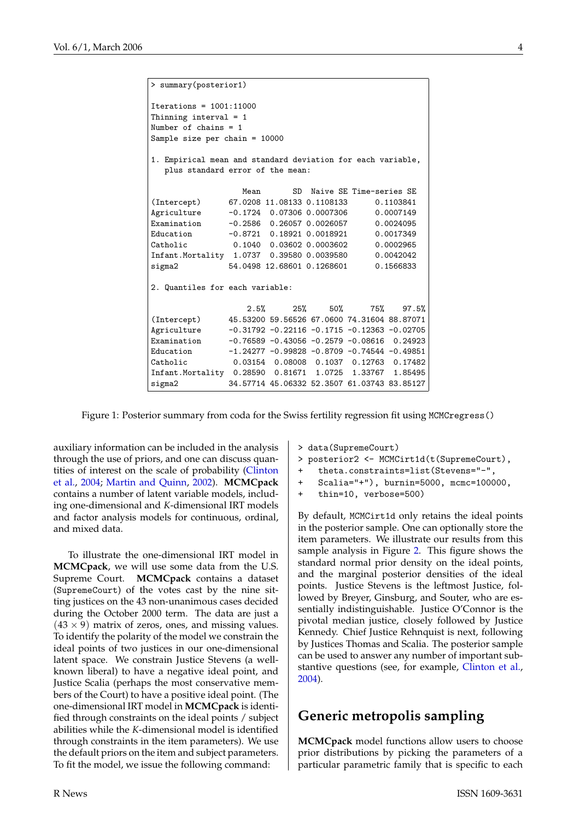```
> summary(posterior1)
Iterations = 1001:11000
Thinning interval = 1
Number of chains = 1
Sample size per chain = 10000
1. Empirical mean and standard deviation for each variable,
  plus standard error of the mean:
                  Mean SD Naive SE Time-series SE
(Intercept) 67.0208 11.08133 0.1108133 0.1103841
Agriculture -0.1724 0.07306 0.0007306 0.0007149
Examination -0.2586 0.26057 0.0026057 0.0024095
Education -0.8721 0.18921 0.0018921 0.0017349<br>Catholic 0.1040 0.03602 0.0003602 0.0002965
Catholic 0.1040 0.03602 0.0003602 0.0002965<br>Infant.Mortality 1.0737 0.39580 0.0039580 0.0042042
Infant.Mortality 1.0737 0.39580 0.0039580
sigma2 54.0498 12.68601 0.1268601 0.1566833
2. Quantiles for each variable:
                   2.5% 25% 50% 75% 97.5%
(Intercept) 45.53200 59.56526 67.0600 74.31604 88.87071
Agriculture -0.31792 -0.22116 -0.1715 -0.12363 -0.02705
Examination -0.76589 -0.43056 -0.2579 -0.08616 0.24923
Education -1.24277 -0.99828 -0.8709 -0.74544 -0.49851
Catholic 0.03154 0.08008 0.1037 0.12763 0.17482
Infant.Mortality 0.28590 0.81671 1.0725 1.33767 1.85495
sigma2 34.57714 45.06332 52.3507 61.03743 83.85127
```
<span id="page-3-0"></span>Figure 1: Posterior summary from coda for the Swiss fertility regression fit using MCMCregress()

auxiliary information can be included in the analysis through the use of priors, and one can discuss quantities of interest on the scale of probability [\(Clinton](#page-6-7) [et al.,](#page-6-7) [2004;](#page-6-7) [Martin and Quinn,](#page-6-8) [2002\)](#page-6-8). **MCMCpack** contains a number of latent variable models, including one-dimensional and *K*-dimensional IRT models and factor analysis models for continuous, ordinal, and mixed data.

To illustrate the one-dimensional IRT model in **MCMCpack**, we will use some data from the U.S. Supreme Court. **MCMCpack** contains a dataset (SupremeCourt) of the votes cast by the nine sitting justices on the 43 non-unanimous cases decided during the October 2000 term. The data are just a  $(43 \times 9)$  matrix of zeros, ones, and missing values. To identify the polarity of the model we constrain the ideal points of two justices in our one-dimensional latent space. We constrain Justice Stevens (a wellknown liberal) to have a negative ideal point, and Justice Scalia (perhaps the most conservative members of the Court) to have a positive ideal point. (The one-dimensional IRT model in **MCMCpack** is identified through constraints on the ideal points / subject abilities while the *K*-dimensional model is identified through constraints in the item parameters). We use the default priors on the item and subject parameters. To fit the model, we issue the following command:

- > data(SupremeCourt)
- > posterior2 <- MCMCirt1d(t(SupremeCourt),
- + theta.constraints=list(Stevens="-",
- + Scalia="+"), burnin=5000, mcmc=100000,
- + thin=10, verbose=500)

By default, MCMCirt1d only retains the ideal points in the posterior sample. One can optionally store the item parameters. We illustrate our results from this sample analysis in Figure [2.](#page-4-0) This figure shows the standard normal prior density on the ideal points, and the marginal posterior densities of the ideal points. Justice Stevens is the leftmost Justice, followed by Breyer, Ginsburg, and Souter, who are essentially indistinguishable. Justice O'Connor is the pivotal median justice, closely followed by Justice Kennedy. Chief Justice Rehnquist is next, following by Justices Thomas and Scalia. The posterior sample can be used to answer any number of important substantive questions (see, for example, [Clinton et al.,](#page-6-7) [2004\)](#page-6-7).

#### **Generic metropolis sampling**

**MCMCpack** model functions allow users to choose prior distributions by picking the parameters of a particular parametric family that is specific to each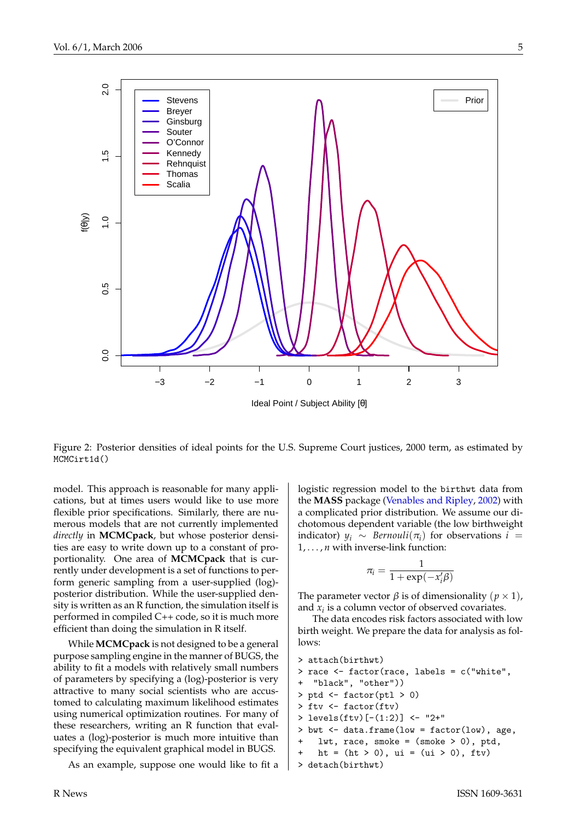<span id="page-4-1"></span>

<span id="page-4-0"></span>Figure 2: Posterior densities of ideal points for the U.S. Supreme Court justices, 2000 term, as estimated by MCMCirt1d()

model. This approach is reasonable for many applications, but at times users would like to use more flexible prior specifications. Similarly, there are numerous models that are not currently implemented *directly* in **MCMCpack**, but whose posterior densities are easy to write down up to a constant of proportionality. One area of **MCMCpack** that is currently under development is a set of functions to perform generic sampling from a user-supplied (log) posterior distribution. While the user-supplied density is written as an R function, the simulation itself is performed in compiled C++ code, so it is much more efficient than doing the simulation in R itself.

While **MCMCpack** is not designed to be a general purpose sampling engine in the manner of BUGS, the ability to fit a models with relatively small numbers of parameters by specifying a (log)-posterior is very attractive to many social scientists who are accustomed to calculating maximum likelihood estimates using numerical optimization routines. For many of these researchers, writing an R function that evaluates a (log)-posterior is much more intuitive than specifying the equivalent graphical model in BUGS.

As an example, suppose one would like to fit a

logistic regression model to the birthwt data from the **MASS** package [\(Venables and Ripley,](#page-6-9) [2002\)](#page-6-9) with a complicated prior distribution. We assume our dichotomous dependent variable (the low birthweight indicator)  $y_i \sim \text{Bernoulli}(\pi_i)$  for observations  $i =$ 1, . . . , *n* with inverse-link function:

$$
\pi_i = \frac{1}{1 + \exp(-x_i'\beta)}
$$

The parameter vector  $\beta$  is of dimensionality  $(p \times 1)$ , and  $x_i$  is a column vector of observed covariates.

The data encodes risk factors associated with low birth weight. We prepare the data for analysis as follows:

```
> attach(birthwt)
> race <- factor(race, labels = c("white",
+ "black", "other"))
> ptd \leq factor(ptl > 0)
> ftv <- factor(ftv)
> levels(ftv)[-(1:2)] <- "2+"
> bwt <- data.frame(low = factor(low), age,
+ lwt, race, smoke = (smoke > 0), ptd,
   ht = (ht > 0), ui = (ui > 0), ftv)> detach(birthwt)
```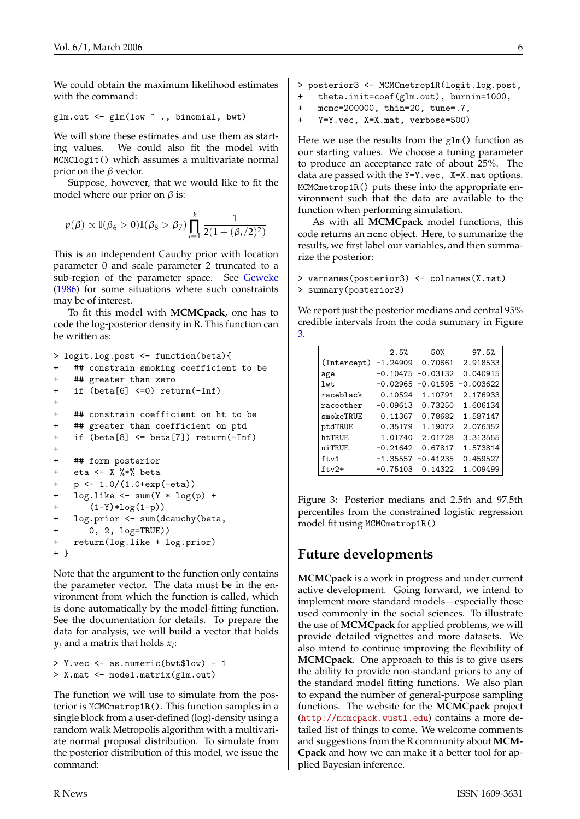<span id="page-5-1"></span>We could obtain the maximum likelihood estimates with the command:

```
glm.out < - glm(low ~ ~ ., binomial, but)
```
We will store these estimates and use them as starting values. We could also fit the model with MCMClogit() which assumes a multivariate normal prior on the  $\beta$  vector.

Suppose, however, that we would like to fit the model where our prior on  $\beta$  is:

$$
p(\beta) \propto \mathbb{I}(\beta_6 > 0)\mathbb{I}(\beta_8 > \beta_7) \prod_{i=1}^k \frac{1}{2(1 + (\beta_i/2)^2)}
$$

This is an independent Cauchy prior with location parameter 0 and scale parameter 2 truncated to a sub-region of the parameter space. See [Geweke](#page-6-10) [\(1986\)](#page-6-10) for some situations where such constraints may be of interest.

To fit this model with **MCMCpack**, one has to code the log-posterior density in R. This function can be written as:

```
> logit.log.post <- function(beta){
+ ## constrain smoking coefficient to be
+ ## greater than zero
+ if (beta[6] <=0) return(-Inf)
+
+ ## constrain coefficient on ht to be
+ ## greater than coefficient on ptd
+ if (beta[8] <= beta[7]) return(-Inf)
+
+ ## form posterior
+ eta <- X %*% beta
+ p <- 1.0/(1.0+exp(-eta))
+ log.like <- sum(Y * log(p) +
+ (1-Y)*log(1-p))
+ log.prior <- sum(dcauchy(beta,
+ 0, 2, log=TRUE))
+ return(log.like + log.prior)
+ }
```
Note that the argument to the function only contains the parameter vector. The data must be in the environment from which the function is called, which is done automatically by the model-fitting function. See the documentation for details. To prepare the data for analysis, we will build a vector that holds *y<sup>i</sup>* and a matrix that holds *x<sup>i</sup>* :

```
> Y.vec <- as.numeric(bwt$low) - 1
> X.mat <- model.matrix(glm.out)
```
The function we will use to simulate from the posterior is MCMCmetrop1R(). This function samples in a single block from a user-defined (log)-density using a random walk Metropolis algorithm with a multivariate normal proposal distribution. To simulate from the posterior distribution of this model, we issue the command:

- > posterior3 <- MCMCmetrop1R(logit.log.post,
- theta.init=coef(glm.out), burnin=1000,
- + mcmc=200000, thin=20, tune=.7,
- + Y=Y.vec, X=X.mat, verbose=500)

Here we use the results from the glm() function as our starting values. We choose a tuning parameter to produce an acceptance rate of about 25%. The data are passed with the Y=Y.vec, X=X.mat options. MCMCmetrop1R() puts these into the appropriate environment such that the data are available to the function when performing simulation.

As with all **MCMCpack** model functions, this code returns an mcmc object. Here, to summarize the results, we first label our variables, and then summarize the posterior:

```
> varnames(posterior3) <- colnames(X.mat)
> summary(posterior3)
```
We report just the posterior medians and central 95% credible intervals from the coda summary in Figure [3.](#page-5-0)

|             | 2.5%       | 50%                  | 97.5%       |
|-------------|------------|----------------------|-------------|
| (Intercept) | $-1.24909$ | 0.70661              | 2.918533    |
| age         |            | $-0.10475 - 0.03132$ | 0.040915    |
| lwt         | $-0.02965$ | $-0.01595$           | $-0.003622$ |
| raceblack   | 0.10524    | 1.10791              | 2.176933    |
| raceother   | $-0.09613$ | 0.73250              | 1.606134    |
| smokeTRUE   | 0.11367    | 0.78682              | 1.587147    |
| ptdTRUE     | 0.35179    | 1.19072              | 2.076352    |
| ht.TRUE     | 1.01740    | 2.01728              | 3.313555    |
| uiTRUE      | $-0.21642$ | 0.67817              | 1.573814    |
| ftv1        | $-1.35557$ | $-0.41235$           | 0.459527    |
| $ftv2+$     | $-0.75103$ | 0.14322              | 1.009499    |

<span id="page-5-0"></span>Figure 3: Posterior medians and 2.5th and 97.5th percentiles from the constrained logistic regression model fit using MCMCmetrop1R()

## **Future developments**

**MCMCpack** is a work in progress and under current active development. Going forward, we intend to implement more standard models—especially those used commonly in the social sciences. To illustrate the use of **MCMCpack** for applied problems, we will provide detailed vignettes and more datasets. We also intend to continue improving the flexibility of **MCMCpack**. One approach to this is to give users the ability to provide non-standard priors to any of the standard model fitting functions. We also plan to expand the number of general-purpose sampling functions. The website for the **MCMCpack** project (<http://mcmcpack.wustl.edu>) contains a more detailed list of things to come. We welcome comments and suggestions from the R community about **MCM-Cpack** and how we can make it a better tool for applied Bayesian inference.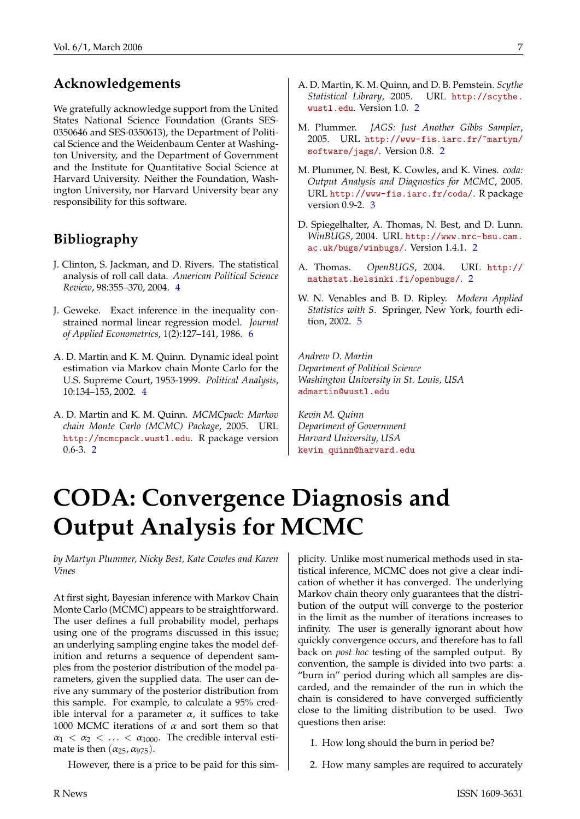### **Acknowledgements**

We gratefully acknowledge support from the United States National Science Foundation (Grants SES-0350646 and SES-0350613), the Department of Political Science and the Weidenbaum Center at Washington University, and the Department of Government and the Institute for Quantitative Social Science at Harvard University. Neither the Foundation, Washington University, nor Harvard University bear any responsibility for this software.

### **Bibliography**

- <span id="page-6-7"></span>J. Clinton, S. Jackman, and D. Rivers. The statistical analysis of roll call data. *American Political Science Review*, 98:355–370, 2004. [4](#page-3-1)
- <span id="page-6-10"></span>J. Geweke. Exact inference in the inequality constrained normal linear regression model. *Journal of Applied Econometrics*, 1(2):127–141, 1986. [6](#page-5-1)
- <span id="page-6-8"></span>A. D. Martin and K. M. Quinn. Dynamic ideal point estimation via Markov chain Monte Carlo for the U.S. Supreme Court, 1953-1999. *Political Analysis*, 10:134–153, 2002. [4](#page-3-1)
- <span id="page-6-1"></span>A. D. Martin and K. M. Quinn. *MCMCpack: Markov chain Monte Carlo (MCMC) Package*, 2005. URL <http://mcmcpack.wustl.edu>. R package version 0.6-3. [2](#page-1-4)
- <span id="page-6-5"></span>A. D. Martin, K. M. Quinn, and D. B. Pemstein. *Scythe Statistical Library*, 2005. URL [http://scythe.](http://scythe.wustl.edu) [wustl.edu](http://scythe.wustl.edu). Version 1.0. [2](#page-1-4)
- <span id="page-6-4"></span>M. Plummer. *JAGS: Just Another Gibbs Sampler*, 2005. URL [http://www-fis.iarc.fr/~martyn/](http://www-fis.iarc.fr/~martyn/software/jags/) [software/jags/](http://www-fis.iarc.fr/~martyn/software/jags/). Version 0.8. [2](#page-1-4)
- <span id="page-6-6"></span>M. Plummer, N. Best, K. Cowles, and K. Vines. *coda: Output Analysis and Diagnostics for MCMC*, 2005. URL <http://www-fis.iarc.fr/coda/>. R package version 0.9-2. [3](#page-2-0)
- <span id="page-6-2"></span>D. Spiegelhalter, A. Thomas, N. Best, and D. Lunn. *WinBUGS*, 2004. URL [http://www.mrc-bsu.cam.](http://www.mrc-bsu.cam.ac.uk/bugs/winbugs/) [ac.uk/bugs/winbugs/](http://www.mrc-bsu.cam.ac.uk/bugs/winbugs/). Version 1.4.1. [2](#page-1-4)
- <span id="page-6-3"></span>A. Thomas. *OpenBUGS*, 2004. URL [http://](http://mathstat.helsinki.fi/openbugs/) [mathstat.helsinki.fi/openbugs/](http://mathstat.helsinki.fi/openbugs/). [2](#page-1-4)
- <span id="page-6-9"></span>W. N. Venables and B. D. Ripley. *Modern Applied Statistics with S*. Springer, New York, fourth edition, 2002. [5](#page-4-1)

*Andrew D. Martin Department of Political Science Washington University in St. Louis, USA* [admartin@wustl.edu](mailto:admartin@wustl.edu)

*Kevin M. Quinn Department of Government Harvard University, USA* kevin [quinn@harvard.edu](mailto:kevin
elax $@@underline {hbox { }}mathsurround z@ $
elax quinn@harvard.edu)

# **CODA: Convergence Diagnosis and Output Analysis for MCMC**

<span id="page-6-0"></span>*by Martyn Plummer, Nicky Best, Kate Cowles and Karen Vines*

At first sight, Bayesian inference with Markov Chain Monte Carlo (MCMC) appears to be straightforward. The user defines a full probability model, perhaps using one of the programs discussed in this issue; an underlying sampling engine takes the model definition and returns a sequence of dependent samples from the posterior distribution of the model parameters, given the supplied data. The user can derive any summary of the posterior distribution from this sample. For example, to calculate a 95% credible interval for a parameter  $\alpha$ , it suffices to take 1000 MCMC iterations of  $\alpha$  and sort them so that  $\alpha_1 < \alpha_2 < \ldots < \alpha_{1000}$ . The credible interval estimate is then  $(\alpha_{25}, \alpha_{975})$ .

However, there is a price to be paid for this sim-

- plicity. Unlike most numerical methods used in statistical inference, MCMC does not give a clear indication of whether it has converged. The underlying Markov chain theory only guarantees that the distribution of the output will converge to the posterior in the limit as the number of iterations increases to infinity. The user is generally ignorant about how quickly convergence occurs, and therefore has to fall back on *post hoc* testing of the sampled output. By convention, the sample is divided into two parts: a "burn in" period during which all samples are discarded, and the remainder of the run in which the chain is considered to have converged sufficiently close to the limiting distribution to be used. Two questions then arise:
	- 1. How long should the burn in period be?
	- 2. How many samples are required to accurately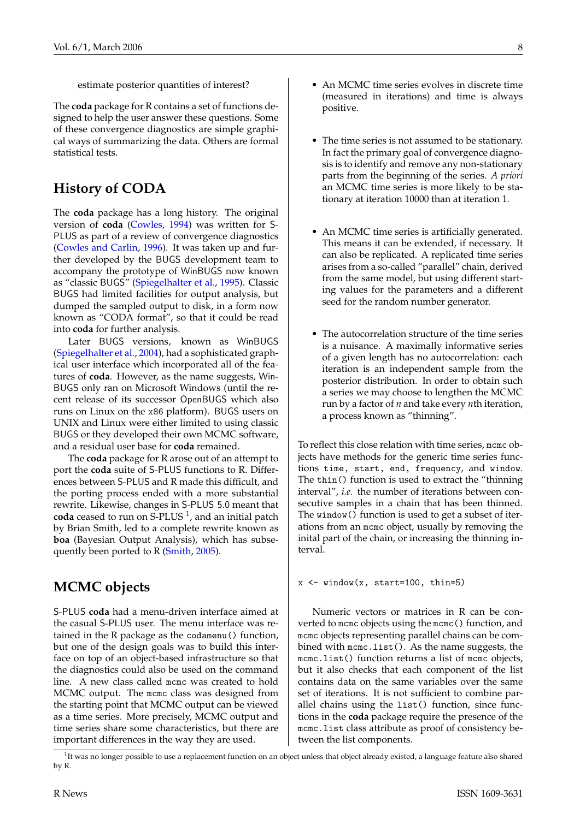<span id="page-7-1"></span>estimate posterior quantities of interest?

The **coda** package for R contains a set of functions designed to help the user answer these questions. Some of these convergence diagnostics are simple graphical ways of summarizing the data. Others are formal statistical tests.

#### **History of CODA**

The **coda** package has a long history. The original version of **coda** [\(Cowles,](#page-9-0) [1994\)](#page-9-0) was written for S-PLUS as part of a review of convergence diagnostics [\(Cowles and Carlin,](#page-9-1) [1996\)](#page-9-1). It was taken up and further developed by the BUGS development team to accompany the prototype of WinBUGS now known as "classic BUGS" [\(Spiegelhalter et al.,](#page-10-1) [1995\)](#page-10-1). Classic BUGS had limited facilities for output analysis, but dumped the sampled output to disk, in a form now known as "CODA format", so that it could be read into **coda** for further analysis.

Later BUGS versions, known as WinBUGS [\(Spiegelhalter et al.,](#page-10-2) [2004\)](#page-10-2), had a sophisticated graphical user interface which incorporated all of the features of **coda**. However, as the name suggests, Win-BUGS only ran on Microsoft Windows (until the recent release of its successor OpenBUGS which also runs on Linux on the x86 platform). BUGS users on UNIX and Linux were either limited to using classic BUGS or they developed their own MCMC software, and a residual user base for **coda** remained.

The **coda** package for R arose out of an attempt to port the **coda** suite of S-PLUS functions to R. Differences between S-PLUS and R made this difficult, and the porting process ended with a more substantial rewrite. Likewise, changes in S-PLUS 5.0 meant that coda ceased to run on S-PLUS<sup>[1](#page-7-0)</sup>, and an initial patch by Brian Smith, led to a complete rewrite known as **boa** (Bayesian Output Analysis), which has subsequently been ported to R [\(Smith,](#page-10-3) [2005\)](#page-10-3).

#### **MCMC objects**

S-PLUS **coda** had a menu-driven interface aimed at the casual S-PLUS user. The menu interface was retained in the R package as the codamenu() function, but one of the design goals was to build this interface on top of an object-based infrastructure so that the diagnostics could also be used on the command line. A new class called mcmc was created to hold MCMC output. The mcmc class was designed from the starting point that MCMC output can be viewed as a time series. More precisely, MCMC output and time series share some characteristics, but there are important differences in the way they are used.

- An MCMC time series evolves in discrete time (measured in iterations) and time is always positive.
- The time series is not assumed to be stationary. In fact the primary goal of convergence diagnosis is to identify and remove any non-stationary parts from the beginning of the series. *A priori* an MCMC time series is more likely to be stationary at iteration 10000 than at iteration 1.
- An MCMC time series is artificially generated. This means it can be extended, if necessary. It can also be replicated. A replicated time series arises from a so-called "parallel" chain, derived from the same model, but using different starting values for the parameters and a different seed for the random number generator.
- The autocorrelation structure of the time series is a nuisance. A maximally informative series of a given length has no autocorrelation: each iteration is an independent sample from the posterior distribution. In order to obtain such a series we may choose to lengthen the MCMC run by a factor of *n* and take every *n*th iteration, a process known as "thinning".

To reflect this close relation with time series, mcmc objects have methods for the generic time series functions time, start, end, frequency, and window. The thin() function is used to extract the "thinning interval", *i.e.* the number of iterations between consecutive samples in a chain that has been thinned. The window() function is used to get a subset of iterations from an mcmc object, usually by removing the inital part of the chain, or increasing the thinning interval.

#### $x \leftarrow$  window $(x, start=100, thin=5)$

Numeric vectors or matrices in R can be converted to mcmc objects using the mcmc() function, and mcmc objects representing parallel chains can be combined with mcmc.list(). As the name suggests, the mcmc.list() function returns a list of mcmc objects, but it also checks that each component of the list contains data on the same variables over the same set of iterations. It is not sufficient to combine parallel chains using the list() function, since functions in the **coda** package require the presence of the mcmc.list class attribute as proof of consistency between the list components.

<span id="page-7-0"></span><sup>&</sup>lt;sup>1</sup>It was no longer possible to use a replacement function on an object unless that object already existed, a language feature also shared by R.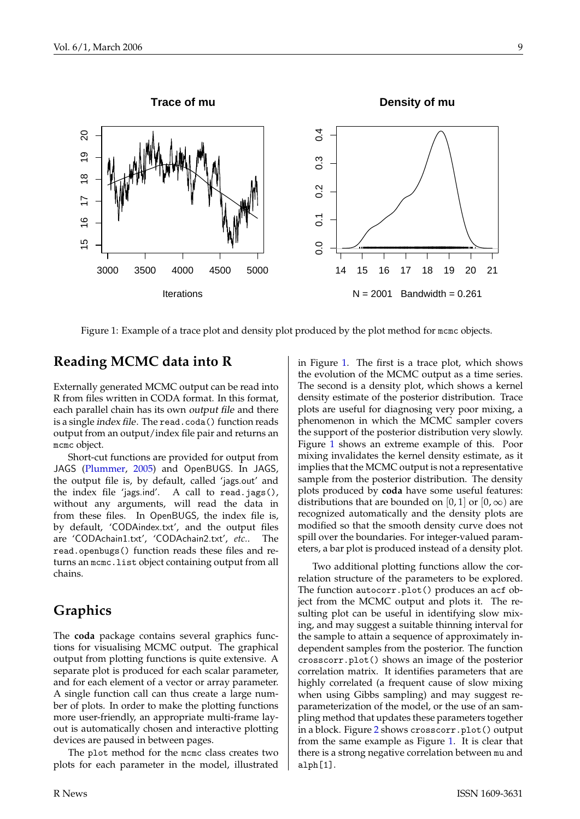<span id="page-8-1"></span>

<span id="page-8-0"></span>Figure 1: Example of a trace plot and density plot produced by the plot method for mcmc objects.

#### **Reading MCMC data into R**

Externally generated MCMC output can be read into R from files written in CODA format. In this format, each parallel chain has its own output file and there is a single *index file*. The read.coda() function reads output from an output/index file pair and returns an mcmc object.

Short-cut functions are provided for output from JAGS [\(Plummer,](#page-10-4) [2005\)](#page-10-4) and OpenBUGS. In JAGS, the output file is, by default, called 'jags.out' and the index file 'jags.ind'. A call to read.jags(), without any arguments, will read the data in from these files. In OpenBUGS, the index file is, by default, 'CODAindex.txt', and the output files are 'CODAchain1.txt', 'CODAchain2.txt', *etc.*. The read.openbugs() function reads these files and returns an mcmc.list object containing output from all chains.

#### **Graphics**

The **coda** package contains several graphics functions for visualising MCMC output. The graphical output from plotting functions is quite extensive. A separate plot is produced for each scalar parameter, and for each element of a vector or array parameter. A single function call can thus create a large number of plots. In order to make the plotting functions more user-friendly, an appropriate multi-frame layout is automatically chosen and interactive plotting devices are paused in between pages.

The plot method for the mcmc class creates two plots for each parameter in the model, illustrated in Figure [1.](#page-8-0) The first is a trace plot, which shows the evolution of the MCMC output as a time series. The second is a density plot, which shows a kernel density estimate of the posterior distribution. Trace plots are useful for diagnosing very poor mixing, a phenomenon in which the MCMC sampler covers the support of the posterior distribution very slowly. Figure [1](#page-8-0) shows an extreme example of this. Poor mixing invalidates the kernel density estimate, as it implies that the MCMC output is not a representative sample from the posterior distribution. The density plots produced by **coda** have some useful features: distributions that are bounded on [0, 1] or [0,  $\infty$ ) are recognized automatically and the density plots are modified so that the smooth density curve does not spill over the boundaries. For integer-valued parameters, a bar plot is produced instead of a density plot.

Two additional plotting functions allow the correlation structure of the parameters to be explored. The function autocorr.plot() produces an acf object from the MCMC output and plots it. The resulting plot can be useful in identifying slow mixing, and may suggest a suitable thinning interval for the sample to attain a sequence of approximately independent samples from the posterior. The function crosscorr.plot() shows an image of the posterior correlation matrix. It identifies parameters that are highly correlated (a frequent cause of slow mixing when using Gibbs sampling) and may suggest reparameterization of the model, or the use of an sampling method that updates these parameters together in a block. Figure [2](#page-9-2) shows crosscorr.plot() output from the same example as Figure [1.](#page-8-0) It is clear that there is a strong negative correlation between mu and alph[1].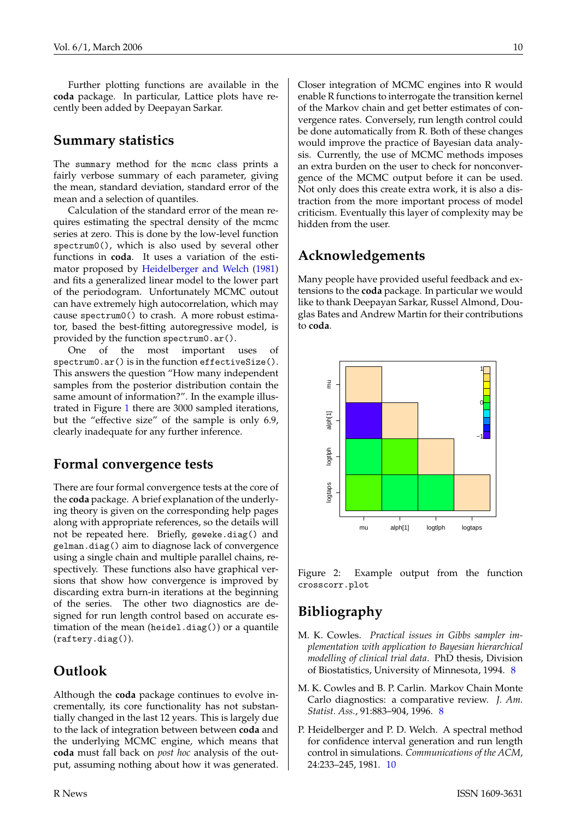<span id="page-9-4"></span>Further plotting functions are available in the **coda** package. In particular, Lattice plots have recently been added by Deepayan Sarkar.

#### **Summary statistics**

The summary method for the mcmc class prints a fairly verbose summary of each parameter, giving the mean, standard deviation, standard error of the mean and a selection of quantiles.

Calculation of the standard error of the mean requires estimating the spectral density of the mcmc series at zero. This is done by the low-level function spectrum0(), which is also used by several other functions in **coda**. It uses a variation of the estimator proposed by [Heidelberger and Welch](#page-9-3) [\(1981\)](#page-9-3) and fits a generalized linear model to the lower part of the periodogram. Unfortunately MCMC outout can have extremely high autocorrelation, which may cause spectrum0() to crash. A more robust estimator, based the best-fitting autoregressive model, is provided by the function spectrum0.ar().

One of the most important uses of spectrum0.ar() is in the function effectiveSize(). This answers the question "How many independent samples from the posterior distribution contain the same amount of information?". In the example illustrated in Figure [1](#page-8-0) there are 3000 sampled iterations, but the "effective size" of the sample is only 6.9, clearly inadequate for any further inference.

#### **Formal convergence tests**

There are four formal convergence tests at the core of the **coda** package. A brief explanation of the underlying theory is given on the corresponding help pages along with appropriate references, so the details will not be repeated here. Briefly, geweke.diag() and gelman.diag() aim to diagnose lack of convergence using a single chain and multiple parallel chains, respectively. These functions also have graphical versions that show how convergence is improved by discarding extra burn-in iterations at the beginning of the series. The other two diagnostics are designed for run length control based on accurate estimation of the mean (heidel.diag()) or a quantile (raftery.diag()).

### **Outlook**

Although the **coda** package continues to evolve incrementally, its core functionality has not substantially changed in the last 12 years. This is largely due to the lack of integration between between **coda** and the underlying MCMC engine, which means that **coda** must fall back on *post hoc* analysis of the output, assuming nothing about how it was generated.

Closer integration of MCMC engines into R would enable R functions to interrogate the transition kernel of the Markov chain and get better estimates of convergence rates. Conversely, run length control could be done automatically from R. Both of these changes would improve the practice of Bayesian data analysis. Currently, the use of MCMC methods imposes an extra burden on the user to check for nonconvergence of the MCMC output before it can be used. Not only does this create extra work, it is also a distraction from the more important process of model criticism. Eventually this layer of complexity may be hidden from the user.

### **Acknowledgements**

Many people have provided useful feedback and extensions to the **coda** package. In particular we would like to thank Deepayan Sarkar, Russel Almond, Douglas Bates and Andrew Martin for their contributions to **coda**.



<span id="page-9-2"></span>Figure 2: Example output from the function crosscorr.plot

## **Bibliography**

- <span id="page-9-0"></span>M. K. Cowles. *Practical issues in Gibbs sampler implementation with application to Bayesian hierarchical modelling of clinical trial data*. PhD thesis, Division of Biostatistics, University of Minnesota, 1994. [8](#page-7-1)
- <span id="page-9-1"></span>M. K. Cowles and B. P. Carlin. Markov Chain Monte Carlo diagnostics: a comparative review. *J. Am. Statist. Ass.*, 91:883–904, 1996. [8](#page-7-1)
- <span id="page-9-3"></span>P. Heidelberger and P. D. Welch. A spectral method for confidence interval generation and run length control in simulations. *Communications of the ACM*, 24:233–245, 1981. [10](#page-9-4)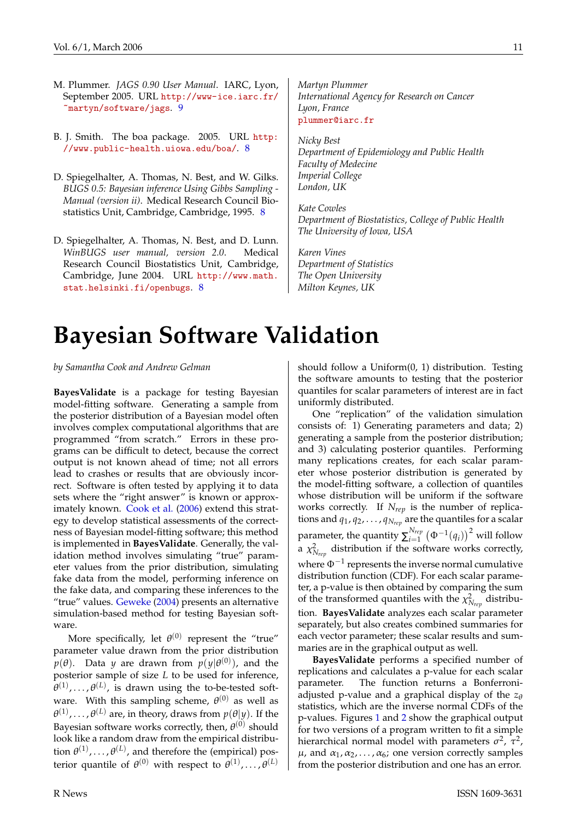- <span id="page-10-5"></span><span id="page-10-4"></span>M. Plummer. *JAGS 0.90 User Manual*. IARC, Lyon, September 2005. URL [http://www-ice.iarc.fr/](http://www-ice.iarc.fr/~martyn/software/jags) [~martyn/software/jags](http://www-ice.iarc.fr/~martyn/software/jags). [9](#page-8-1)
- <span id="page-10-3"></span>B. J. Smith. The boa package. 2005. URL [http:](http://www.public-health.uiowa.edu/boa/) [//www.public-health.uiowa.edu/boa/](http://www.public-health.uiowa.edu/boa/). [8](#page-7-1)
- <span id="page-10-1"></span>D. Spiegelhalter, A. Thomas, N. Best, and W. Gilks. *BUGS 0.5: Bayesian inference Using Gibbs Sampling - Manual (version ii)*. Medical Research Council Biostatistics Unit, Cambridge, Cambridge, 1995. [8](#page-7-1)
- <span id="page-10-2"></span>D. Spiegelhalter, A. Thomas, N. Best, and D. Lunn. *WinBUGS user manual, version 2.0*. Medical Research Council Biostatistics Unit, Cambridge, Cambridge, June 2004. URL [http://www.math.](http://www.math.stat.helsinki.fi/openbugs) [stat.helsinki.fi/openbugs](http://www.math.stat.helsinki.fi/openbugs). [8](#page-7-1)

*Martyn Plummer International Agency for Research on Cancer Lyon, France* [plummer@iarc.fr](mailto:plummer@iarc.fr)

*Nicky Best Department of Epidemiology and Public Health Faculty of Medecine Imperial College London, UK*

*Kate Cowles Department of Biostatistics, College of Public Health The University of Iowa, USA*

*Karen Vines Department of Statistics The Open University Milton Keynes, UK*

# **Bayesian Software Validation**

<span id="page-10-0"></span>*by Samantha Cook and Andrew Gelman*

**BayesValidate** is a package for testing Bayesian model-fitting software. Generating a sample from the posterior distribution of a Bayesian model often involves complex computational algorithms that are programmed "from scratch." Errors in these programs can be difficult to detect, because the correct output is not known ahead of time; not all errors lead to crashes or results that are obviously incorrect. Software is often tested by applying it to data sets where the "right answer" is known or approximately known. [Cook et al.](#page-11-1) [\(2006\)](#page-11-1) extend this strategy to develop statistical assessments of the correctness of Bayesian model-fitting software; this method is implemented in **BayesValidate**. Generally, the validation method involves simulating "true" parameter values from the prior distribution, simulating fake data from the model, performing inference on the fake data, and comparing these inferences to the "true" values. [Geweke](#page-11-2) [\(2004\)](#page-11-2) presents an alternative simulation-based method for testing Bayesian software.

More specifically, let  $\theta^{(0)}$  represent the "true" parameter value drawn from the prior distribution  $p(\theta)$ . Data *y* are drawn from  $p(y|\theta^{(0)})$ , and the posterior sample of size *L* to be used for inference,  $\theta^{(1)}, \ldots, \theta^{(L)}$ , is drawn using the to-be-tested software. With this sampling scheme,  $\theta^{(0)}$  as well as  $\theta^{(1)}, \ldots, \theta^{(L)}$  are, in theory, draws from  $p(\theta | y)$ . If the Bayesian software works correctly, then,  $\theta^{(0)}$  should look like a random draw from the empirical distribution  $\theta^{(1)}$ , ...,  $\theta^{(L)}$ , and therefore the (empirical) posterior quantile of  $\theta^{(0)}$  with respect to  $\theta^{(1)}, \ldots, \theta^{(L)}$ 

should follow a Uniform(0, 1) distribution. Testing the software amounts to testing that the posterior quantiles for scalar parameters of interest are in fact uniformly distributed.

One "replication" of the validation simulation consists of: 1) Generating parameters and data; 2) generating a sample from the posterior distribution; and 3) calculating posterior quantiles. Performing many replications creates, for each scalar parameter whose posterior distribution is generated by the model-fitting software, a collection of quantiles whose distribution will be uniform if the software works correctly. If *Nrep* is the number of replications and *q*1, *q*2, . . . , *qNrep* are the quantiles for a scalar parameter, the quantity  $\sum_{i=1}^{N_{rep}}$  $\int\limits_{i=1}^{N_{rep}}\left(\Phi^{-1}(q_{i})\right)^{2}$  will follow a  $\chi^2_{N_{rep}}$  distribution if the software works correctly, where  $\Phi^{-1}$  represents the inverse normal cumulative distribution function (CDF). For each scalar parameter, a p-value is then obtained by comparing the sum of the transformed quantiles with the  $\chi^2_{N_{rep}}$  distribution. **BayesValidate** analyzes each scalar parameter separately, but also creates combined summaries for each vector parameter; these scalar results and summaries are in the graphical output as well.

**BayesValidate** performs a specified number of replications and calculates a p-value for each scalar parameter. The function returns a Bonferroniadjusted p-value and a graphical display of the  $z_{\theta}$ statistics, which are the inverse normal CDFs of the p-values. Figures [1](#page-11-3) and [2](#page-11-4) show the graphical output for two versions of a program written to fit a simple hierarchical normal model with parameters  $\sigma^2$ ,  $\tau^2$ ,  $\mu$ , and  $\alpha_1, \alpha_2, \ldots, \alpha_6$ ; one version correctly samples from the posterior distribution and one has an error.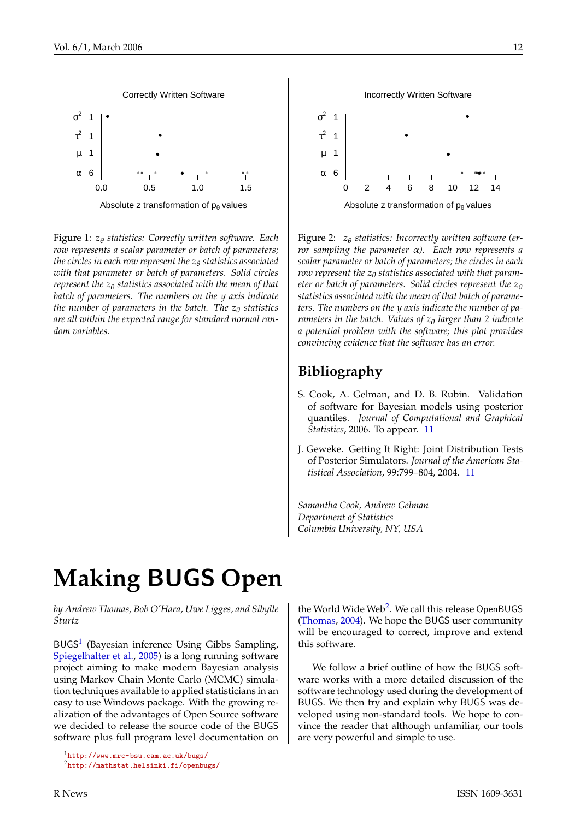<span id="page-11-7"></span>

<span id="page-11-3"></span>Figure 1: *z*θ *statistics: Correctly written software. Each row represents a scalar parameter or batch of parameters; the circles in each row represent the z<sub>θ</sub> statistics associated with that parameter or batch of parameters. Solid circles represent the z*θ *statistics associated with the mean of that batch of parameters. The numbers on the y axis indicate the number of parameters in the batch. The z<sub>θ</sub> statistics are all within the expected range for standard normal random variables.*



<span id="page-11-4"></span>Figure 2: *z*θ *statistics: Incorrectly written software (error sampling the parameter* α*). Each row represents a scalar parameter or batch of parameters; the circles in each row represent the*  $z_{\theta}$  *statistics associated with that parameter or batch of parameters. Solid circles represent the z<sub>θ</sub> statistics associated with the mean of that batch of parameters. The numbers on the y axis indicate the number of parameters in the batch. Values of z*θ *larger than 2 indicate a potential problem with the software; this plot provides convincing evidence that the software has an error.*

### **Bibliography**

- <span id="page-11-1"></span>S. Cook, A. Gelman, and D. B. Rubin. Validation of software for Bayesian models using posterior quantiles. *Journal of Computational and Graphical Statistics*, 2006. To appear. [11](#page-10-5)
- <span id="page-11-2"></span>J. Geweke. Getting It Right: Joint Distribution Tests of Posterior Simulators. *Journal of the American Statistical Association*, 99:799–804, 2004. [11](#page-10-5)

*Samantha Cook, Andrew Gelman Department of Statistics Columbia University, NY, USA*

# **Making** BUGS **Open**

<span id="page-11-0"></span>*by Andrew Thomas, Bob O'Hara, Uwe Ligges, and Sibylle Sturtz*

BUGS<sup>[1](#page-11-5)</sup> (Bayesian inference Using Gibbs Sampling, [Spiegelhalter et al.,](#page-16-1) [2005\)](#page-16-1) is a long running software project aiming to make modern Bayesian analysis using Markov Chain Monte Carlo (MCMC) simulation techniques available to applied statisticians in an easy to use Windows package. With the growing realization of the advantages of Open Source software we decided to release the source code of the BUGS software plus full program level documentation on

the World Wide Web<sup>[2](#page-11-6)</sup>. We call this release OpenBUGS [\(Thomas,](#page-16-2) [2004\)](#page-16-2). We hope the BUGS user community will be encouraged to correct, improve and extend this software.

We follow a brief outline of how the BUGS software works with a more detailed discussion of the software technology used during the development of BUGS. We then try and explain why BUGS was developed using non-standard tools. We hope to convince the reader that although unfamiliar, our tools are very powerful and simple to use.

<span id="page-11-5"></span><sup>1</sup><http://www.mrc-bsu.cam.ac.uk/bugs/>

<span id="page-11-6"></span><sup>2</sup><http://mathstat.helsinki.fi/openbugs/>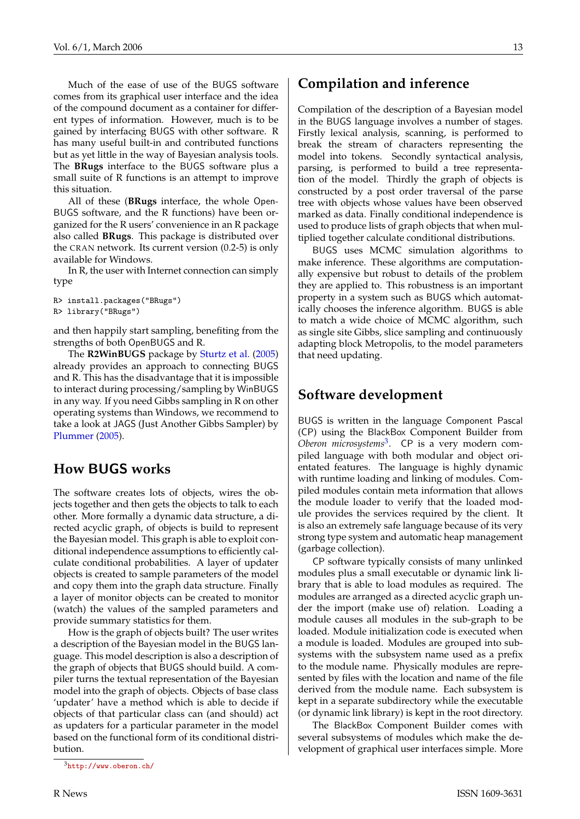<span id="page-12-1"></span>Much of the ease of use of the BUGS software comes from its graphical user interface and the idea of the compound document as a container for different types of information. However, much is to be gained by interfacing BUGS with other software. R has many useful built-in and contributed functions but as yet little in the way of Bayesian analysis tools. The **BRugs** interface to the BUGS software plus a small suite of R functions is an attempt to improve this situation.

All of these (**BRugs** interface, the whole Open-BUGS software, and the R functions) have been organized for the R users' convenience in an R package also called **BRugs**. This package is distributed over the CRAN network. Its current version (0.2-5) is only available for Windows.

In R, the user with Internet connection can simply type

```
R> install.packages("BRugs")
R> library("BRugs")
```
and then happily start sampling, benefiting from the strengths of both OpenBUGS and R.

The **R2WinBUGS** package by [Sturtz et al.](#page-16-3) [\(2005\)](#page-16-3) already provides an approach to connecting BUGS and R. This has the disadvantage that it is impossible to interact during processing/sampling by WinBUGS in any way. If you need Gibbs sampling in R on other operating systems than Windows, we recommend to take a look at JAGS (Just Another Gibbs Sampler) by [Plummer](#page-16-4) [\(2005\)](#page-16-4).

### **How** BUGS **works**

The software creates lots of objects, wires the objects together and then gets the objects to talk to each other. More formally a dynamic data structure, a directed acyclic graph, of objects is build to represent the Bayesian model. This graph is able to exploit conditional independence assumptions to efficiently calculate conditional probabilities. A layer of updater objects is created to sample parameters of the model and copy them into the graph data structure. Finally a layer of monitor objects can be created to monitor (watch) the values of the sampled parameters and provide summary statistics for them.

How is the graph of objects built? The user writes a description of the Bayesian model in the BUGS language. This model description is also a description of the graph of objects that BUGS should build. A compiler turns the textual representation of the Bayesian model into the graph of objects. Objects of base class 'updater' have a method which is able to decide if objects of that particular class can (and should) act as updaters for a particular parameter in the model based on the functional form of its conditional distribution.

#### **Compilation and inference**

Compilation of the description of a Bayesian model in the BUGS language involves a number of stages. Firstly lexical analysis, scanning, is performed to break the stream of characters representing the model into tokens. Secondly syntactical analysis, parsing, is performed to build a tree representation of the model. Thirdly the graph of objects is constructed by a post order traversal of the parse tree with objects whose values have been observed marked as data. Finally conditional independence is used to produce lists of graph objects that when multiplied together calculate conditional distributions.

BUGS uses MCMC simulation algorithms to make inference. These algorithms are computationally expensive but robust to details of the problem they are applied to. This robustness is an important property in a system such as BUGS which automatically chooses the inference algorithm. BUGS is able to match a wide choice of MCMC algorithm, such as single site Gibbs, slice sampling and continuously adapting block Metropolis, to the model parameters that need updating.

#### **Software development**

BUGS is written in the language Component Pascal (CP) using the BlackBox Component Builder from *Oberon microsystems*[3](#page-12-0) . CP is a very modern compiled language with both modular and object orientated features. The language is highly dynamic with runtime loading and linking of modules. Compiled modules contain meta information that allows the module loader to verify that the loaded module provides the services required by the client. It is also an extremely safe language because of its very strong type system and automatic heap management (garbage collection).

CP software typically consists of many unlinked modules plus a small executable or dynamic link library that is able to load modules as required. The modules are arranged as a directed acyclic graph under the import (make use of) relation. Loading a module causes all modules in the sub-graph to be loaded. Module initialization code is executed when a module is loaded. Modules are grouped into subsystems with the subsystem name used as a prefix to the module name. Physically modules are represented by files with the location and name of the file derived from the module name. Each subsystem is kept in a separate subdirectory while the executable (or dynamic link library) is kept in the root directory.

The BlackBox Component Builder comes with several subsystems of modules which make the development of graphical user interfaces simple. More

<span id="page-12-0"></span><sup>3</sup><http://www.oberon.ch/>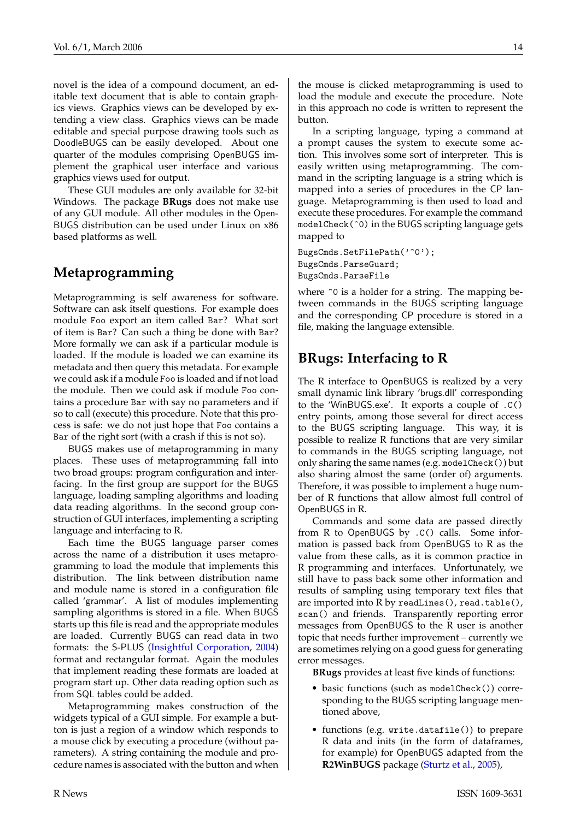<span id="page-13-0"></span>novel is the idea of a compound document, an editable text document that is able to contain graphics views. Graphics views can be developed by extending a view class. Graphics views can be made editable and special purpose drawing tools such as DoodleBUGS can be easily developed. About one quarter of the modules comprising OpenBUGS implement the graphical user interface and various graphics views used for output.

These GUI modules are only available for 32-bit Windows. The package **BRugs** does not make use of any GUI module. All other modules in the Open-BUGS distribution can be used under Linux on x86 based platforms as well.

### **Metaprogramming**

Metaprogramming is self awareness for software. Software can ask itself questions. For example does module Foo export an item called Bar? What sort of item is Bar? Can such a thing be done with Bar? More formally we can ask if a particular module is loaded. If the module is loaded we can examine its metadata and then query this metadata. For example we could ask if a module Foo is loaded and if not load the module. Then we could ask if module Foo contains a procedure Bar with say no parameters and if so to call (execute) this procedure. Note that this process is safe: we do not just hope that Foo contains a Bar of the right sort (with a crash if this is not so).

BUGS makes use of metaprogramming in many places. These uses of metaprogramming fall into two broad groups: program configuration and interfacing. In the first group are support for the BUGS language, loading sampling algorithms and loading data reading algorithms. In the second group construction of GUI interfaces, implementing a scripting language and interfacing to R.

Each time the BUGS language parser comes across the name of a distribution it uses metaprogramming to load the module that implements this distribution. The link between distribution name and module name is stored in a configuration file called 'grammar'. A list of modules implementing sampling algorithms is stored in a file. When BUGS starts up this file is read and the appropriate modules are loaded. Currently BUGS can read data in two formats: the S-PLUS [\(Insightful Corporation,](#page-16-5) [2004\)](#page-16-5) format and rectangular format. Again the modules that implement reading these formats are loaded at program start up. Other data reading option such as from SQL tables could be added.

Metaprogramming makes construction of the widgets typical of a GUI simple. For example a button is just a region of a window which responds to a mouse click by executing a procedure (without parameters). A string containing the module and procedure names is associated with the button and when

the mouse is clicked metaprogramming is used to load the module and execute the procedure. Note in this approach no code is written to represent the button.

In a scripting language, typing a command at a prompt causes the system to execute some action. This involves some sort of interpreter. This is easily written using metaprogramming. The command in the scripting language is a string which is mapped into a series of procedures in the CP language. Metaprogramming is then used to load and execute these procedures. For example the command modelCheck(^0) in the BUGS scripting language gets mapped to

BugsCmds.SetFilePath('^0'); BugsCmds.ParseGuard; BugsCmds.ParseFile

where  $\hat{O}$  is a holder for a string. The mapping between commands in the BUGS scripting language and the corresponding CP procedure is stored in a file, making the language extensible.

### **BRugs: Interfacing to R**

The R interface to OpenBUGS is realized by a very small dynamic link library 'brugs.dll' corresponding to the 'WinBUGS.exe'. It exports a couple of .C() entry points, among those several for direct access to the BUGS scripting language. This way, it is possible to realize R functions that are very similar to commands in the BUGS scripting language, not only sharing the same names (e.g. modelCheck()) but also sharing almost the same (order of) arguments. Therefore, it was possible to implement a huge number of R functions that allow almost full control of OpenBUGS in R.

Commands and some data are passed directly from R to OpenBUGS by .C() calls. Some information is passed back from OpenBUGS to R as the value from these calls, as it is common practice in R programming and interfaces. Unfortunately, we still have to pass back some other information and results of sampling using temporary text files that are imported into R by readLines(), read.table(), scan() and friends. Transparently reporting error messages from OpenBUGS to the R user is another topic that needs further improvement – currently we are sometimes relying on a good guess for generating error messages.

**BRugs** provides at least five kinds of functions:

- basic functions (such as modelCheck()) corresponding to the BUGS scripting language mentioned above,
- functions (e.g. write.datafile()) to prepare R data and inits (in the form of dataframes, for example) for OpenBUGS adapted from the **R2WinBUGS** package [\(Sturtz et al.,](#page-16-3) [2005\)](#page-16-3),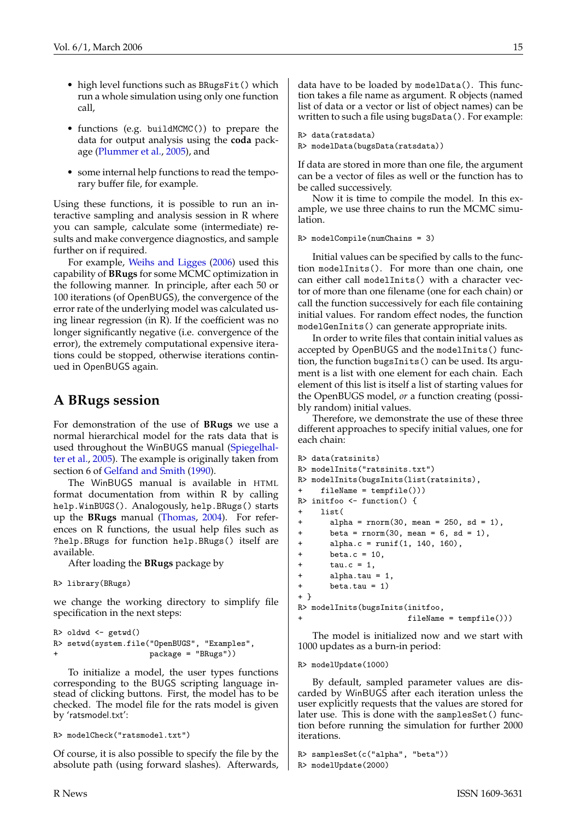- <span id="page-14-0"></span>• high level functions such as BRugsFit() which run a whole simulation using only one function call,
- functions (e.g. buildMCMC()) to prepare the data for output analysis using the **coda** package [\(Plummer et al.,](#page-16-6) [2005\)](#page-16-6), and
- some internal help functions to read the temporary buffer file, for example.

Using these functions, it is possible to run an interactive sampling and analysis session in R where you can sample, calculate some (intermediate) results and make convergence diagnostics, and sample further on if required.

For example, [Weihs and Ligges](#page-16-7) [\(2006\)](#page-16-7) used this capability of **BRugs** for some MCMC optimization in the following manner. In principle, after each 50 or 100 iterations (of OpenBUGS), the convergence of the error rate of the underlying model was calculated using linear regression (in R). If the coefficient was no longer significantly negative (i.e. convergence of the error), the extremely computational expensive iterations could be stopped, otherwise iterations continued in OpenBUGS again.

### **A BRugs session**

For demonstration of the use of **BRugs** we use a normal hierarchical model for the rats data that is used throughout the WinBUGS manual [\(Spiegelhal](#page-16-1)[ter et al.,](#page-16-1) [2005\)](#page-16-1). The example is originally taken from section 6 of [Gelfand and Smith](#page-16-8) [\(1990\)](#page-16-8).

The WinBUGS manual is available in HTML format documentation from within R by calling help.WinBUGS(). Analogously, help.BRugs() starts up the **BRugs** manual [\(Thomas,](#page-16-2) [2004\)](#page-16-2). For references on R functions, the usual help files such as ?help.BRugs for function help.BRugs() itself are available.

After loading the **BRugs** package by

R> library(BRugs)

we change the working directory to simplify file specification in the next steps:

```
R> oldwd <- getwd()
R> setwd(system.file("OpenBUGS", "Examples",
                         _{\text{package}} = \text{"BRugs"})
```
To initialize a model, the user types functions corresponding to the BUGS scripting language instead of clicking buttons. First, the model has to be checked. The model file for the rats model is given by 'ratsmodel.txt':

R> modelCheck("ratsmodel.txt")

Of course, it is also possible to specify the file by the absolute path (using forward slashes). Afterwards, data have to be loaded by modelData(). This function takes a file name as argument. R objects (named list of data or a vector or list of object names) can be written to such a file using bugsData(). For example:

```
R> data(ratsdata)
R> modelData(bugsData(ratsdata))
```
If data are stored in more than one file, the argument can be a vector of files as well or the function has to be called successively.

Now it is time to compile the model. In this example, we use three chains to run the MCMC simulation.

```
R> modelCompile(numChains = 3)
```
Initial values can be specified by calls to the function modelInits(). For more than one chain, one can either call modelInits() with a character vector of more than one filename (one for each chain) or call the function successively for each file containing initial values. For random effect nodes, the function modelGenInits() can generate appropriate inits.

In order to write files that contain initial values as accepted by OpenBUGS and the modelInits() function, the function bugsInits() can be used. Its argument is a list with one element for each chain. Each element of this list is itself a list of starting values for the OpenBUGS model, *or* a function creating (possibly random) initial values.

Therefore, we demonstrate the use of these three different approaches to specify initial values, one for each chain:

```
R> data(ratsinits)
R> modelInits("ratsinits.txt")
R> modelInits(bugsInits(list(ratsinits),
    fileName = tempfile())R> initfoo <- function() {
+ list(
+ alpha = rnorm(30, mean = 250, sd = 1),
+ beta = rnorm(30, mean = 6, sd = 1),
+ alpha.c = runif(1, 140, 160),
+ beta.c = 10,
+ tau.c = 1,
+ alpha.tau = 1,
+ beta.tau = 1)
+ }
R> modelInits(bugsInits(initfoo,
+ fileName = tempfile()))
```
The model is initialized now and we start with 1000 updates as a burn-in period:

#### R> modelUpdate(1000)

By default, sampled parameter values are discarded by WinBUGS after each iteration unless the user explicitly requests that the values are stored for later use. This is done with the samplesSet() function before running the simulation for further 2000 iterations.

```
R> samplesSet(c("alpha", "beta"))
R> modelUpdate(2000)
```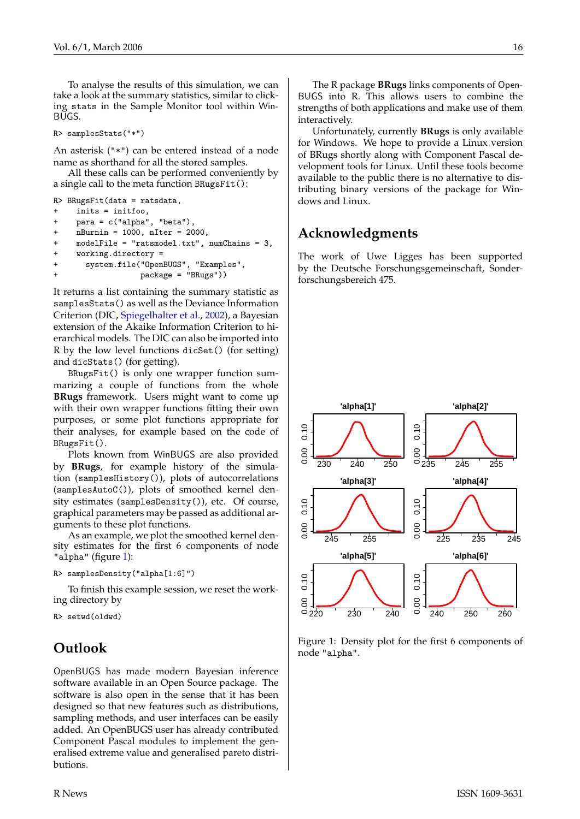<span id="page-15-1"></span>To analyse the results of this simulation, we can take a look at the summary statistics, similar to clicking stats in the Sample Monitor tool within Win-BUGS.

R> samplesStats("\*")

An asterisk ("\*") can be entered instead of a node name as shorthand for all the stored samples.

All these calls can be performed conveniently by a single call to the meta function BRugsFit():

```
R> BRugsFit(data = ratsdata,
+ inits = initfoo,
+ para = c("alpha", "beta"),
+ nBurnin = 1000, nIter = 2000,
    modelFile = "ratsmodel.txt", numChains = 3,+ working.directory =
+ system.file("OpenBUGS", "Examples",
+ package = "BRugs"))
```
It returns a list containing the summary statistic as samplesStats() as well as the Deviance Information Criterion (DIC, [Spiegelhalter et al.,](#page-16-9) [2002\)](#page-16-9), a Bayesian extension of the Akaike Information Criterion to hierarchical models. The DIC can also be imported into R by the low level functions dicSet() (for setting) and dicStats() (for getting).

BRugsFit() is only one wrapper function summarizing a couple of functions from the whole **BRugs** framework. Users might want to come up with their own wrapper functions fitting their own purposes, or some plot functions appropriate for their analyses, for example based on the code of BRugsFit().

Plots known from WinBUGS are also provided by **BRugs**, for example history of the simulation (samplesHistory()), plots of autocorrelations (samplesAutoC()), plots of smoothed kernel density estimates (samplesDensity()), etc. Of course, graphical parameters may be passed as additional arguments to these plot functions.

As an example, we plot the smoothed kernel density estimates for the first 6 components of node "alpha" (figure [1\)](#page-15-0):

```
R> samplesDensity("alpha[1:6]")
```
To finish this example session, we reset the working directory by

```
R> setwd(oldwd)
```
## **Outlook**

OpenBUGS has made modern Bayesian inference software available in an Open Source package. The software is also open in the sense that it has been designed so that new features such as distributions, sampling methods, and user interfaces can be easily added. An OpenBUGS user has already contributed Component Pascal modules to implement the generalised extreme value and generalised pareto distributions.

The R package **BRugs** links components of Open-BUGS into R. This allows users to combine the strengths of both applications and make use of them interactively.

Unfortunately, currently **BRugs** is only available for Windows. We hope to provide a Linux version of BRugs shortly along with Component Pascal development tools for Linux. Until these tools become available to the public there is no alternative to distributing binary versions of the package for Windows and Linux.

## **Acknowledgments**

The work of Uwe Ligges has been supported by the Deutsche Forschungsgemeinschaft, Sonderforschungsbereich 475.



<span id="page-15-0"></span>Figure 1: Density plot for the first 6 components of node "alpha".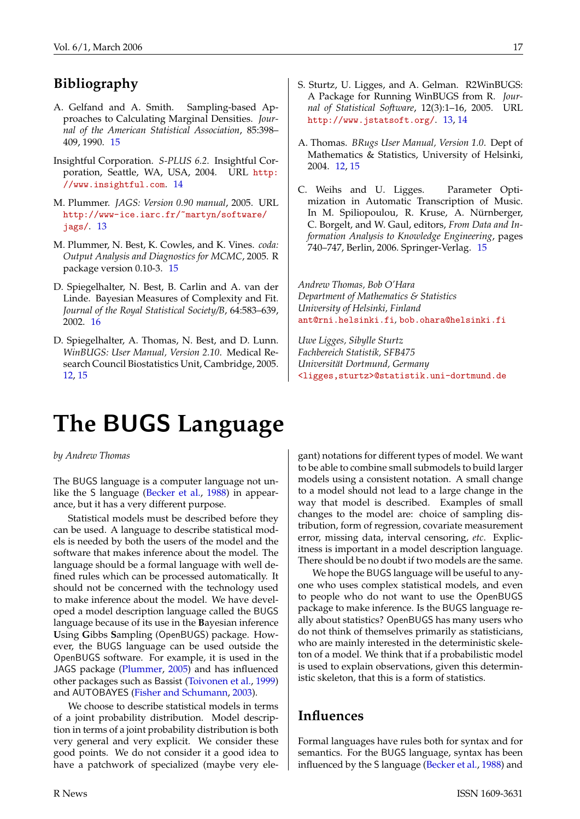## <span id="page-16-10"></span>**Bibliography**

- <span id="page-16-8"></span>A. Gelfand and A. Smith. Sampling-based Approaches to Calculating Marginal Densities. *Journal of the American Statistical Association*, 85:398– 409, 1990. [15](#page-14-0)
- <span id="page-16-5"></span>Insightful Corporation. *S-PLUS 6.2*. Insightful Corporation, Seattle, WA, USA, 2004. URL [http:](http://www.insightful.com) [//www.insightful.com](http://www.insightful.com). [14](#page-13-0)
- <span id="page-16-4"></span>M. Plummer. *JAGS: Version 0.90 manual*, 2005. URL [http://www-ice.iarc.fr/~martyn/software/](http://www-ice.iarc.fr/~martyn/software/jags/) [jags/](http://www-ice.iarc.fr/~martyn/software/jags/). [13](#page-12-1)
- <span id="page-16-6"></span>M. Plummer, N. Best, K. Cowles, and K. Vines. *coda: Output Analysis and Diagnostics for MCMC*, 2005. R package version 0.10-3. [15](#page-14-0)
- <span id="page-16-9"></span>D. Spiegelhalter, N. Best, B. Carlin and A. van der Linde. Bayesian Measures of Complexity and Fit. *Journal of the Royal Statistical Society/B*, 64:583–639, 2002. [16](#page-15-1)
- <span id="page-16-1"></span>D. Spiegelhalter, A. Thomas, N. Best, and D. Lunn. *WinBUGS: User Manual, Version 2.10*. Medical Research Council Biostatistics Unit, Cambridge, 2005. [12,](#page-11-7) [15](#page-14-0)
- <span id="page-16-3"></span>S. Sturtz, U. Ligges, and A. Gelman. R2WinBUGS: A Package for Running WinBUGS from R. *Journal of Statistical Software*, 12(3):1–16, 2005. URL <http://www.jstatsoft.org/>. [13,](#page-12-1) [14](#page-13-0)
- <span id="page-16-2"></span>A. Thomas. *BRugs User Manual, Version 1.0*. Dept of Mathematics & Statistics, University of Helsinki, 2004. [12,](#page-11-7) [15](#page-14-0)
- <span id="page-16-7"></span>C. Weihs and U. Ligges. Parameter Optimization in Automatic Transcription of Music. In M. Spiliopoulou, R. Kruse, A. Nürnberger, C. Borgelt, and W. Gaul, editors, *From Data and Information Analysis to Knowledge Engineering*, pages 740–747, Berlin, 2006. Springer-Verlag. [15](#page-14-0)

*Andrew Thomas, Bob O'Hara Department of Mathematics & Statistics University of Helsinki, Finland* [ant@rni.helsinki.fi](mailto:ant@rni.helsinki.fi)*,* [bob.ohara@helsinki.fi](mailto:bob.ohara@helsinki.fi)

*Uwe Ligges, Sibylle Sturtz Fachbereich Statistik, SFB475 Universität Dortmund, Germany* [<ligges,sturtz>@statistik.uni-dortmund.de](mailto:<ligges,sturtz>@statistik.uni-dortmund.de)

# **The** BUGS **Language**

<span id="page-16-0"></span>*by Andrew Thomas*

The BUGS language is a computer language not unlike the S language [\(Becker et al.,](#page-19-0) [1988\)](#page-19-0) in appearance, but it has a very different purpose.

Statistical models must be described before they can be used. A language to describe statistical models is needed by both the users of the model and the software that makes inference about the model. The language should be a formal language with well defined rules which can be processed automatically. It should not be concerned with the technology used to make inference about the model. We have developed a model description language called the BUGS language because of its use in the **B**ayesian inference **U**sing **G**ibbs **S**ampling (OpenBUGS) package. However, the BUGS language can be used outside the OpenBUGS software. For example, it is used in the JAGS package [\(Plummer,](#page-20-1) [2005\)](#page-20-1) and has influenced other packages such as Bassist [\(Toivonen et al.,](#page-20-2) [1999\)](#page-20-2) and AUTOBAYES [\(Fisher and Schumann,](#page-20-3) [2003\)](#page-20-3).

We choose to describe statistical models in terms of a joint probability distribution. Model description in terms of a joint probability distribution is both very general and very explicit. We consider these good points. We do not consider it a good idea to have a patchwork of specialized (maybe very ele-

gant) notations for different types of model. We want to be able to combine small submodels to build larger models using a consistent notation. A small change to a model should not lead to a large change in the way that model is described. Examples of small changes to the model are: choice of sampling distribution, form of regression, covariate measurement error, missing data, interval censoring, *etc*. Explicitness is important in a model description language. There should be no doubt if two models are the same.

We hope the BUGS language will be useful to anyone who uses complex statistical models, and even to people who do not want to use the OpenBUGS package to make inference. Is the BUGS language really about statistics? OpenBUGS has many users who do not think of themselves primarily as statisticians, who are mainly interested in the deterministic skeleton of a model. We think that if a probabilistic model is used to explain observations, given this deterministic skeleton, that this is a form of statistics.

### **Influences**

Formal languages have rules both for syntax and for semantics. For the BUGS language, syntax has been influenced by the S language [\(Becker et al.,](#page-19-0) [1988\)](#page-19-0) and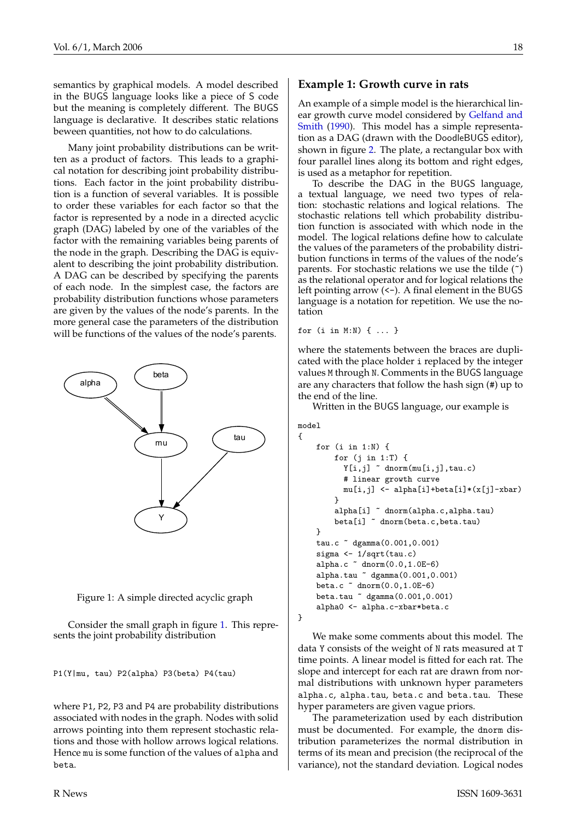<span id="page-17-1"></span>semantics by graphical models. A model described in the BUGS language looks like a piece of S code but the meaning is completely different. The BUGS language is declarative. It describes static relations beween quantities, not how to do calculations.

Many joint probability distributions can be written as a product of factors. This leads to a graphical notation for describing joint probability distributions. Each factor in the joint probability distribution is a function of several variables. It is possible to order these variables for each factor so that the factor is represented by a node in a directed acyclic graph (DAG) labeled by one of the variables of the factor with the remaining variables being parents of the node in the graph. Describing the DAG is equivalent to describing the joint probability distribution. A DAG can be described by specifying the parents of each node. In the simplest case, the factors are probability distribution functions whose parameters are given by the values of the node's parents. In the more general case the parameters of the distribution will be functions of the values of the node's parents.



<span id="page-17-0"></span>

Consider the small graph in figure [1.](#page-17-0) This represents the joint probability distribution

P1(Y|mu, tau) P2(alpha) P3(beta) P4(tau)

where P1, P2, P3 and P4 are probability distributions associated with nodes in the graph. Nodes with solid arrows pointing into them represent stochastic relations and those with hollow arrows logical relations. Hence mu is some function of the values of alpha and beta.

#### **Example 1: Growth curve in rats**

An example of a simple model is the hierarchical linear growth curve model considered by [Gelfand and](#page-20-4) [Smith](#page-20-4) [\(1990\)](#page-20-4). This model has a simple representation as a DAG (drawn with the DoodleBUGS editor), shown in figure [2.](#page-18-0) The plate, a rectangular box with four parallel lines along its bottom and right edges, is used as a metaphor for repetition.

To describe the DAG in the BUGS language, a textual language, we need two types of relation: stochastic relations and logical relations. The stochastic relations tell which probability distribution function is associated with which node in the model. The logical relations define how to calculate the values of the parameters of the probability distribution functions in terms of the values of the node's parents. For stochastic relations we use the tilde (~) as the relational operator and for logical relations the left pointing arrow  $(\leq-)$ . A final element in the BUGS language is a notation for repetition. We use the notation

for (i in M:N) { ... }

where the statements between the braces are duplicated with the place holder i replaced by the integer values M through N. Comments in the BUGS language are any characters that follow the hash sign (#) up to the end of the line.

Written in the BUGS language, our example is

```
model
```
{

}

```
for (i in 1:N) {
    for (j in 1:T) {
      Y[i,j] \tilde{ } dnorm(mu[i,j],tau.c)
      # linear growth curve
      mu[i,j] <- alpha[i]+beta[i]*(x[j]-xbar)
    }
    alpha[i] ~ dnorm(alpha.c,alpha.tau)
    beta[i] ~ dnorm(beta.c,beta.tau)
}
tau.c ~ dgamma(0.001,0.001)
sigma <- 1/sqrt(tau.c)
alpha.c ~ dnorm(0.0,1.0E-6)
alpha.tau ~ dgamma(0.001,0.001)
beta.c ~ dnorm(0.0,1.0E-6)
beta.tau ~ dgamma(0.001,0.001)
alpha0 <- alpha.c-xbar*beta.c
```
We make some comments about this model. The data Y consists of the weight of N rats measured at T time points. A linear model is fitted for each rat. The slope and intercept for each rat are drawn from normal distributions with unknown hyper parameters alpha.c, alpha.tau, beta.c and beta.tau. These hyper parameters are given vague priors.

The parameterization used by each distribution must be documented. For example, the dnorm distribution parameterizes the normal distribution in terms of its mean and precision (the reciprocal of the variance), not the standard deviation. Logical nodes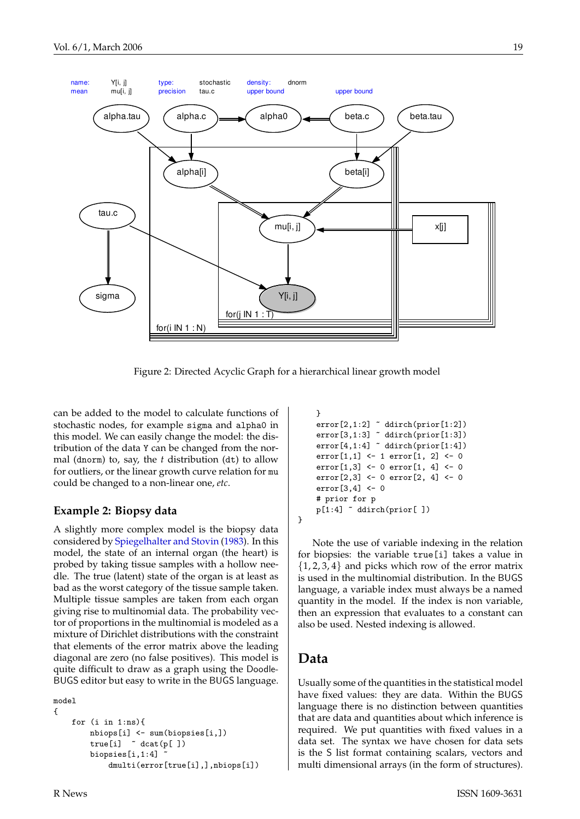<span id="page-18-1"></span>

<span id="page-18-0"></span>Figure 2: Directed Acyclic Graph for a hierarchical linear growth model

can be added to the model to calculate functions of stochastic nodes, for example sigma and alpha0 in this model. We can easily change the model: the distribution of the data Y can be changed from the normal (dnorm) to, say, the *t* distribution (dt) to allow for outliers, or the linear growth curve relation for mu could be changed to a non-linear one, *etc*.

#### **Example 2: Biopsy data**

A slightly more complex model is the biopsy data considered by [Spiegelhalter and Stovin](#page-20-5) [\(1983\)](#page-20-5). In this model, the state of an internal organ (the heart) is probed by taking tissue samples with a hollow needle. The true (latent) state of the organ is at least as bad as the worst category of the tissue sample taken. Multiple tissue samples are taken from each organ giving rise to multinomial data. The probability vector of proportions in the multinomial is modeled as a mixture of Dirichlet distributions with the constraint that elements of the error matrix above the leading diagonal are zero (no false positives). This model is quite difficult to draw as a graph using the Doodle-BUGS editor but easy to write in the BUGS language.

```
model
{
    for (i in 1:ns){
        nbiops[i] <- sum(biopsies[i,])
        true[i] ~ dcat(p[ ])
        biopsies[i,1:4] ~
            dmulti(error[true[i],],nbiops[i])
```

```
}
error[2,1:2] \tilde{ } ddirch(prior[1:2])
error[3,1:3] \sim ddirch(prior[1:3])
error[4,1:4] \sim ddirch(prior[1:4])
error[1,1] <- 1 error[1, 2] <- 0
error[1,3] <- 0 error[1, 4] <- 0
error[2,3] <- 0 error[2, 4] <- 0
error[3,4] <- 0
# prior for p
p[1:4] ~ ddirch(prior[ ])
```
Note the use of variable indexing in the relation for biopsies: the variable true[i] takes a value in  $\{1, 2, 3, 4\}$  and picks which row of the error matrix is used in the multinomial distribution. In the BUGS language, a variable index must always be a named quantity in the model. If the index is non variable, then an expression that evaluates to a constant can also be used. Nested indexing is allowed.

#### **Data**

}

Usually some of the quantities in the statistical model have fixed values: they are data. Within the BUGS language there is no distinction between quantities that are data and quantities about which inference is required. We put quantities with fixed values in a data set. The syntax we have chosen for data sets is the S list format containing scalars, vectors and multi dimensional arrays (in the form of structures).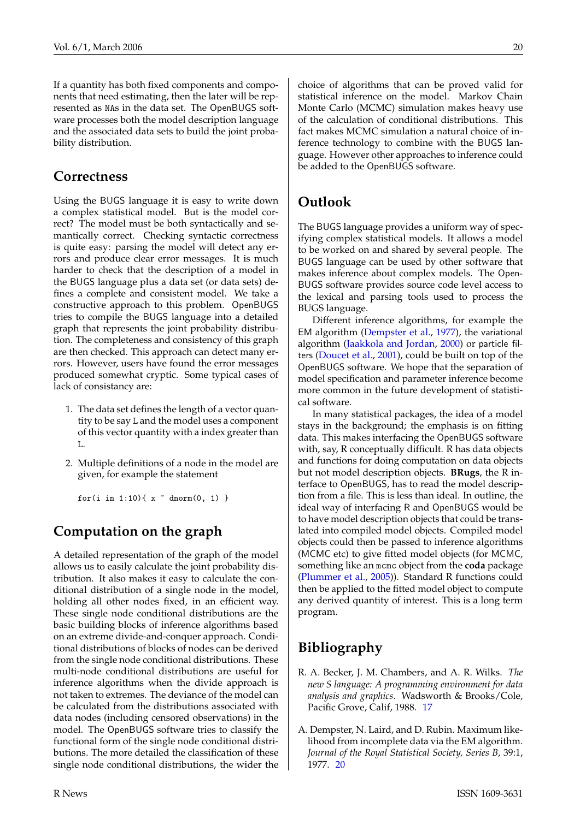<span id="page-19-2"></span>If a quantity has both fixed components and components that need estimating, then the later will be represented as NAs in the data set. The OpenBUGS software processes both the model description language and the associated data sets to build the joint probability distribution.

#### **Correctness**

Using the BUGS language it is easy to write down a complex statistical model. But is the model correct? The model must be both syntactically and semantically correct. Checking syntactic correctness is quite easy: parsing the model will detect any errors and produce clear error messages. It is much harder to check that the description of a model in the BUGS language plus a data set (or data sets) defines a complete and consistent model. We take a constructive approach to this problem. OpenBUGS tries to compile the BUGS language into a detailed graph that represents the joint probability distribution. The completeness and consistency of this graph are then checked. This approach can detect many errors. However, users have found the error messages produced somewhat cryptic. Some typical cases of lack of consistancy are:

- 1. The data set defines the length of a vector quantity to be say L and the model uses a component of this vector quantity with a index greater than L.
- 2. Multiple definitions of a node in the model are given, for example the statement

for(i in 1:10){  $x$   $\sim$  dnorm(0, 1) }

## **Computation on the graph**

A detailed representation of the graph of the model allows us to easily calculate the joint probability distribution. It also makes it easy to calculate the conditional distribution of a single node in the model, holding all other nodes fixed, in an efficient way. These single node conditional distributions are the basic building blocks of inference algorithms based on an extreme divide-and-conquer approach. Conditional distributions of blocks of nodes can be derived from the single node conditional distributions. These multi-node conditional distributions are useful for inference algorithms when the divide approach is not taken to extremes. The deviance of the model can be calculated from the distributions associated with data nodes (including censored observations) in the model. The OpenBUGS software tries to classify the functional form of the single node conditional distributions. The more detailed the classification of these single node conditional distributions, the wider the choice of algorithms that can be proved valid for statistical inference on the model. Markov Chain Monte Carlo (MCMC) simulation makes heavy use of the calculation of conditional distributions. This fact makes MCMC simulation a natural choice of inference technology to combine with the BUGS language. However other approaches to inference could be added to the OpenBUGS software.

## **Outlook**

The BUGS language provides a uniform way of specifying complex statistical models. It allows a model to be worked on and shared by several people. The BUGS language can be used by other software that makes inference about complex models. The Open-BUGS software provides source code level access to the lexical and parsing tools used to process the BUGS language.

Different inference algorithms, for example the EM algorithm [\(Dempster et al.,](#page-19-1) [1977\)](#page-19-1), the variational algorithm [\(Jaakkola and Jordan,](#page-20-6) [2000\)](#page-20-6) or particle filters [\(Doucet et al.,](#page-20-7) [2001\)](#page-20-7), could be built on top of the OpenBUGS software. We hope that the separation of model specification and parameter inference become more common in the future development of statistical software.

In many statistical packages, the idea of a model stays in the background; the emphasis is on fitting data. This makes interfacing the OpenBUGS software with, say, R conceptually difficult. R has data objects and functions for doing computation on data objects but not model description objects. **BRugs**, the R interface to OpenBUGS, has to read the model description from a file. This is less than ideal. In outline, the ideal way of interfacing R and OpenBUGS would be to have model description objects that could be translated into compiled model objects. Compiled model objects could then be passed to inference algorithms (MCMC etc) to give fitted model objects (for MCMC, something like an mcmc object from the **coda** package [\(Plummer et al.,](#page-20-8) [2005\)](#page-20-8)). Standard R functions could then be applied to the fitted model object to compute any derived quantity of interest. This is a long term program.

## **Bibliography**

- <span id="page-19-0"></span>R. A. Becker, J. M. Chambers, and A. R. Wilks. *The new S language: A programming environment for data analysis and graphics*. Wadsworth & Brooks/Cole, Pacific Grove, Calif, 1988. [17](#page-16-10)
- <span id="page-19-1"></span>A. Dempster, N. Laird, and D. Rubin. Maximum likelihood from incomplete data via the EM algorithm. *Journal of the Royal Statistical Society, Series B*, 39:1, 1977. [20](#page-19-2)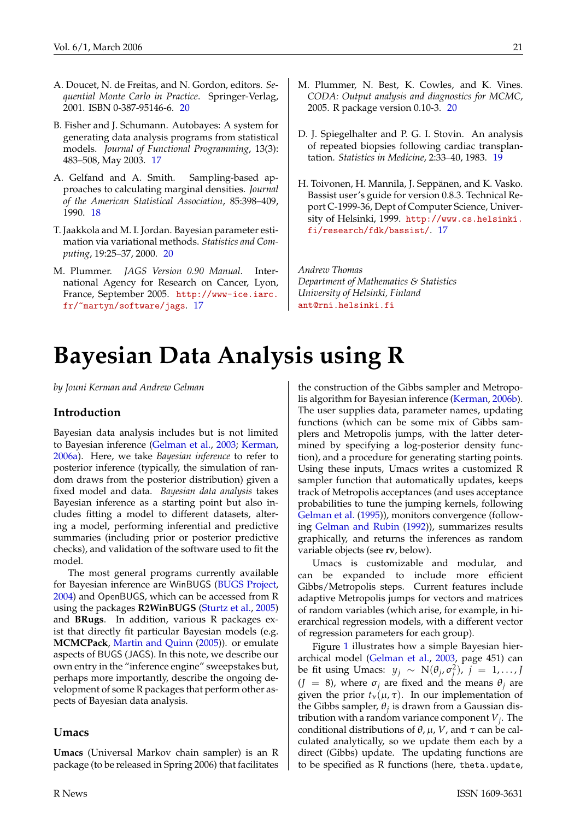- <span id="page-20-9"></span><span id="page-20-7"></span>A. Doucet, N. de Freitas, and N. Gordon, editors. *Sequential Monte Carlo in Practice*. Springer-Verlag, 2001. ISBN 0-387-95146-6. [20](#page-19-2)
- <span id="page-20-3"></span>B. Fisher and J. Schumann. Autobayes: A system for generating data analysis programs from statistical models. *Journal of Functional Programming*, 13(3): 483–508, May 2003. [17](#page-16-10)
- <span id="page-20-4"></span>A. Gelfand and A. Smith. Sampling-based approaches to calculating marginal densities. *Journal of the American Statistical Association*, 85:398–409, 1990. [18](#page-17-1)
- <span id="page-20-6"></span>T. Jaakkola and M. I. Jordan. Bayesian parameter estimation via variational methods. *Statistics and Computing*, 19:25–37, 2000. [20](#page-19-2)
- <span id="page-20-1"></span>M. Plummer. *JAGS Version 0.90 Manual*. International Agency for Research on Cancer, Lyon, France, September 2005. [http://www-ice.iarc.](http://www-ice.iarc.fr/~martyn/software/jags) [fr/~martyn/software/jags](http://www-ice.iarc.fr/~martyn/software/jags). [17](#page-16-10)
- <span id="page-20-8"></span>M. Plummer, N. Best, K. Cowles, and K. Vines. *CODA: Output analysis and diagnostics for MCMC*, 2005. R package version 0.10-3. [20](#page-19-2)
- <span id="page-20-5"></span>D. J. Spiegelhalter and P. G. I. Stovin. An analysis of repeated biopsies following cardiac transplantation. *Statistics in Medicine*, 2:33–40, 1983. [19](#page-18-1)
- <span id="page-20-2"></span>H. Toivonen, H. Mannila, J. Seppänen, and K. Vasko. Bassist user's guide for version 0.8.3. Technical Report C-1999-36, Dept of Computer Science, University of Helsinki, 1999. [http://www.cs.helsinki.](http://www.cs.helsinki.fi/research/fdk/bassist/) [fi/research/fdk/bassist/](http://www.cs.helsinki.fi/research/fdk/bassist/). [17](#page-16-10)

*Andrew Thomas Department of Mathematics & Statistics University of Helsinki, Finland* [ant@rni.helsinki.fi](mailto:ant@rni.helsinki.fi)

# **Bayesian Data Analysis using R**

<span id="page-20-0"></span>*by Jouni Kerman and Andrew Gelman*

#### **Introduction**

Bayesian data analysis includes but is not limited to Bayesian inference [\(Gelman et al.,](#page-23-1) [2003;](#page-23-1) [Kerman,](#page-23-2) [2006a\)](#page-23-2). Here, we take *Bayesian inference* to refer to posterior inference (typically, the simulation of random draws from the posterior distribution) given a fixed model and data. *Bayesian data analysis* takes Bayesian inference as a starting point but also includes fitting a model to different datasets, altering a model, performing inferential and predictive summaries (including prior or posterior predictive checks), and validation of the software used to fit the model.

The most general programs currently available for Bayesian inference are WinBUGS [\(BUGS Project,](#page-23-3) [2004\)](#page-23-3) and OpenBUGS, which can be accessed from R using the packages **R2WinBUGS** [\(Sturtz et al.,](#page-23-4) [2005\)](#page-23-4) and **BRugs**. In addition, various R packages exist that directly fit particular Bayesian models (e.g. **MCMCPack**, [Martin and Quinn](#page-23-5) [\(2005\)](#page-23-5)). or emulate aspects of BUGS (JAGS). In this note, we describe our own entry in the "inference engine" sweepstakes but, perhaps more importantly, describe the ongoing development of some R packages that perform other aspects of Bayesian data analysis.

#### **Umacs**

**Umacs** (Universal Markov chain sampler) is an R package (to be released in Spring 2006) that facilitates the construction of the Gibbs sampler and Metropolis algorithm for Bayesian inference [\(Kerman,](#page-23-6) [2006b\)](#page-23-6). The user supplies data, parameter names, updating functions (which can be some mix of Gibbs samplers and Metropolis jumps, with the latter determined by specifying a log-posterior density function), and a procedure for generating starting points. Using these inputs, Umacs writes a customized R sampler function that automatically updates, keeps track of Metropolis acceptances (and uses acceptance probabilities to tune the jumping kernels, following [Gelman et al.](#page-23-7) [\(1995\)](#page-23-7)), monitors convergence (following [Gelman and Rubin](#page-23-8) [\(1992\)](#page-23-8)), summarizes results graphically, and returns the inferences as random variable objects (see **rv**, below).

Umacs is customizable and modular, and can be expanded to include more efficient Gibbs/Metropolis steps. Current features include adaptive Metropolis jumps for vectors and matrices of random variables (which arise, for example, in hierarchical regression models, with a different vector of regression parameters for each group).

Figure [1](#page-21-0) illustrates how a simple Bayesian hierarchical model [\(Gelman et al.,](#page-23-1) [2003,](#page-23-1) page 451) can be fit using Umacs:  $y_j \sim N(\theta_j, \sigma_j^2)$ ,  $j = 1, ..., j$  $(J = 8)$ , where  $\sigma_i$  are fixed and the means  $\theta_i$  are given the prior  $t_{\nu}(\mu, \tau)$ . In our implementation of the Gibbs sampler,  $\theta_j$  is drawn from a Gaussian distribution with a random variance component *V<sup>j</sup>* . The conditional distributions of  $\theta$ ,  $\mu$ , *V*, and  $\tau$  can be calculated analytically, so we update them each by a direct (Gibbs) update. The updating functions are to be specified as R functions (here, theta.update,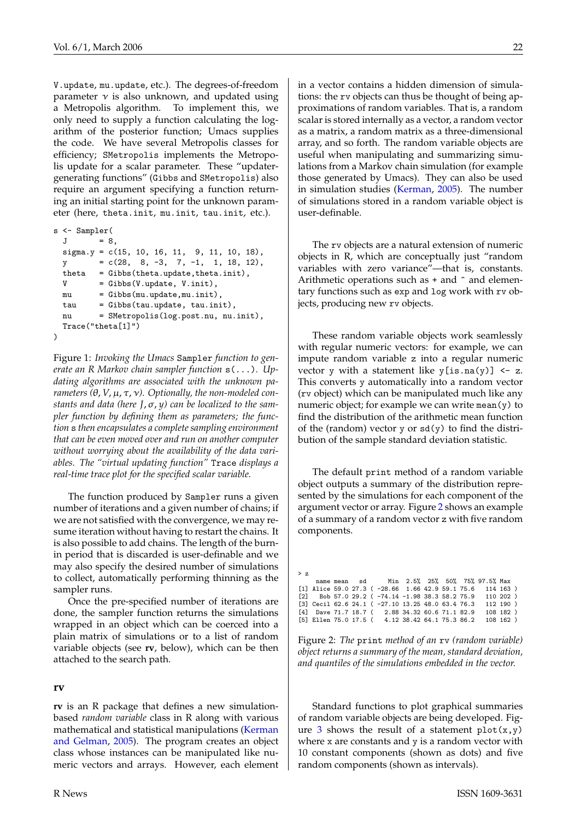<span id="page-21-2"></span>V.update, mu.update, etc.). The degrees-of-freedom parameter  $\nu$  is also unknown, and updated using a Metropolis algorithm. To implement this, we only need to supply a function calculating the logarithm of the posterior function; Umacs supplies the code. We have several Metropolis classes for efficiency; SMetropolis implements the Metropolis update for a scalar parameter. These "updatergenerating functions" (Gibbs and SMetropolis) also require an argument specifying a function returning an initial starting point for the unknown parameter (here, theta.init, mu.init, tau.init, etc.).

```
s <- Sampler(
 J = 8signa.y = c(15, 10, 16, 11, 9, 11, 10, 18),
 y = c(28, 8, -3, 7, -1, 1, 18, 12),theta = Gibbs(theta.update,theta.init).
 V = Gibbs(V.update, V.init),mu = Gibbs(mu.update,mu.init),
 tau = Gibbs(tau.update, tau.init),
 nu = SMetropolis(log.post.nu, nu.init),
 Trace("theta[1]")
)
```
<span id="page-21-0"></span>Figure 1: *Invoking the Umacs* Sampler *function to generate an R Markov chain sampler function* s(...)*. Updating algorithms are associated with the unknown parameters*  $(\theta, V, \mu, \tau, \nu)$ . Optionally, the non-modeled con*stants and data (here J*,σ, *y) can be localized to the sampler function by defining them as parameters; the function* s *then encapsulates a complete sampling environment that can be even moved over and run on another computer without worrying about the availability of the data variables. The "virtual updating function"* Trace *displays a real-time trace plot for the specified scalar variable.*

The function produced by Sampler runs a given number of iterations and a given number of chains; if we are not satisfied with the convergence, we may resume iteration without having to restart the chains. It is also possible to add chains. The length of the burnin period that is discarded is user-definable and we may also specify the desired number of simulations to collect, automatically performing thinning as the sampler runs.

Once the pre-specified number of iterations are done, the sampler function returns the simulations wrapped in an object which can be coerced into a plain matrix of simulations or to a list of random variable objects (see **rv**, below), which can be then attached to the search path.

#### **rv**

**rv** is an R package that defines a new simulationbased *random variable* class in R along with various mathematical and statistical manipulations [\(Kerman](#page-23-9) [and Gelman,](#page-23-9) [2005\)](#page-23-9). The program creates an object class whose instances can be manipulated like numeric vectors and arrays. However, each element in a vector contains a hidden dimension of simulations: the rv objects can thus be thought of being approximations of random variables. That is, a random scalar is stored internally as a vector, a random vector as a matrix, a random matrix as a three-dimensional array, and so forth. The random variable objects are useful when manipulating and summarizing simulations from a Markov chain simulation (for example those generated by Umacs). They can also be used in simulation studies [\(Kerman,](#page-23-10) [2005\)](#page-23-10). The number of simulations stored in a random variable object is user-definable.

The rv objects are a natural extension of numeric objects in R, which are conceptually just "random variables with zero variance"—that is, constants. Arithmetic operations such as  $+$  and  $\hat{ }$  and elementary functions such as exp and log work with rv objects, producing new rv objects.

These random variable objects work seamlessly with regular numeric vectors: for example, we can impute random variable z into a regular numeric vector y with a statement like  $y[i s .na(y)] \leftarrow z$ . This converts y automatically into a random vector (rv object) which can be manipulated much like any numeric object; for example we can write mean $(y)$  to find the distribution of the arithmetic mean function of the (random) vector y or  $sd(y)$  to find the distribution of the sample standard deviation statistic.

The default print method of a random variable object outputs a summary of the distribution represented by the simulations for each component of the argument vector or array. Figure [2](#page-21-1) shows an example of a summary of a random vector z with five random components.

| $>$ z |  |  |                                                               |  |  |  |  |
|-------|--|--|---------------------------------------------------------------|--|--|--|--|
|       |  |  | name mean sd Min 2.5% 25% 50% 75% 97.5% Max                   |  |  |  |  |
|       |  |  | [1] Alice 59.0 27.3 ( $-28.66$ 1.66 42.9 59.1 75.6 114 163)   |  |  |  |  |
|       |  |  | [2] Bob 57.0 29.2 ( $-74.14$ $-1.98$ 38.3 58.2 75.9 110 202)  |  |  |  |  |
|       |  |  | $[3]$ Cecil 62.6 24.1 ( -27.10 13.25 48.0 63.4 76.3 112 190 ) |  |  |  |  |
|       |  |  | [4] Dave 71.7 18.7 (2.88 34.32 60.6 71.1 82.9 108 182)        |  |  |  |  |
|       |  |  | [5] Ellen 75.0 17.5 (4.12 38.42 64.1 75.3 86.2 108 162)       |  |  |  |  |

<span id="page-21-1"></span>Figure 2: *The* print *method of an* rv *(random variable) object returns a summary of the mean, standard deviation, and quantiles of the simulations embedded in the vector.*

Standard functions to plot graphical summaries of random variable objects are being developed. Fig-ure [3](#page-22-0) shows the result of a statement  $plot(x,y)$ where x are constants and y is a random vector with 10 constant components (shown as dots) and five random components (shown as intervals).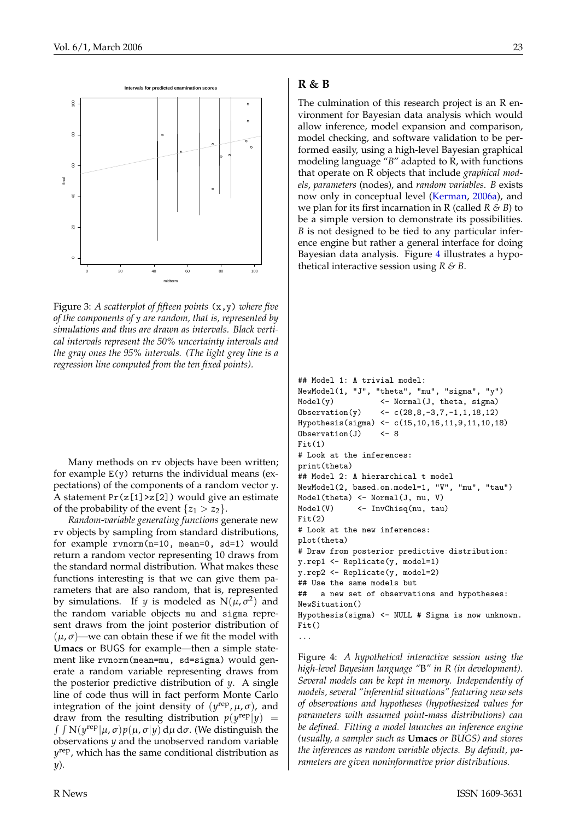<span id="page-22-2"></span>

<span id="page-22-0"></span>Figure 3: *A scatterplot of fifteen points* (x,y) *where five of the components of* y *are random, that is, represented by simulations and thus are drawn as intervals. Black vertical intervals represent the 50% uncertainty intervals and the gray ones the 95% intervals. (The light grey line is a regression line computed from the ten fixed points).*

Many methods on rv objects have been written; for example  $E(y)$  returns the individual means (expectations) of the components of a random vector y. A statement  $Pr(z[1] > z[2])$  would give an estimate of the probability of the event  $\{z_1 > z_2\}$ .

*Random-variable generating functions* generate new rv objects by sampling from standard distributions, for example rvnorm(n=10, mean=0, sd=1) would return a random vector representing 10 draws from the standard normal distribution. What makes these functions interesting is that we can give them parameters that are also random, that is, represented by simulations. If *y* is modeled as  $N(\mu, \sigma^2)$  and the random variable objects mu and sigma represent draws from the joint posterior distribution of  $(\mu, \sigma)$ —we can obtain these if we fit the model with **Umacs** or BUGS for example—then a simple statement like rvnorm(mean=mu, sd=sigma) would generate a random variable representing draws from the posterior predictive distribution of *y*. A single line of code thus will in fact perform Monte Carlo integration of the joint density of  $(y^{\text{rep}}, \mu, \sigma)$ , and draw from the resulting distribution  $p(y^{\text{rep}}|y)$  =  $\int \int N(y^{rep}|\mu,\sigma)p(\mu,\sigma|y) d\mu d\sigma$ . (We distinguish the observations *y* and the unobserved random variable *y* rep, which has the same conditional distribution as *y*).

#### **R & B**

The culmination of this research project is an R environment for Bayesian data analysis which would allow inference, model expansion and comparison, model checking, and software validation to be performed easily, using a high-level Bayesian graphical modeling language "*B*" adapted to R, with functions that operate on R objects that include *graphical models*, *parameters* (nodes), and *random variables*. *B* exists now only in conceptual level [\(Kerman,](#page-23-2) [2006a\)](#page-23-2), and we plan for its first incarnation in R (called *R & B*) to be a simple version to demonstrate its possibilities. *B* is not designed to be tied to any particular inference engine but rather a general interface for doing Bayesian data analysis. Figure [4](#page-22-1) illustrates a hypothetical interactive session using *R & B*.

```
## Model 1: A trivial model:
NewModel(1, "J", "theta", "mu", "sigma", "y")
Model(y) <- Normal(J, theta, sigma)
Observation(y) \leftarrow c(28, 8, -3, 7, -1, 1, 18, 12)Hypothesis(sigma) <- c(15,10,16,11,9,11,10,18)
Observation(J) <- 8
Fit(1)# Look at the inferences:
print(theta)
## Model 2: A hierarchical t model
NewModel(2, based.on.model=1, "V", "mu", "tau")
Model(theta) <- Normal(J, mu, V)
Model(V) \leftarrow \text{InvChisq}(nu, tau)Fit(2)# Look at the new inferences:
plot(theta)
# Draw from posterior predictive distribution:
y.rep1 <- Replicate(y, model=1)
y.rep2 <- Replicate(y, model=2)
## Use the same models but
## a new set of observations and hypotheses:
NewSituation()
Hypothesis(sigma) <- NULL # Sigma is now unknown.
Fit()...
```
<span id="page-22-1"></span>Figure 4: *A hypothetical interactive session using the high-level Bayesian language "*B*" in R (in development). Several models can be kept in memory. Independently of models, several "inferential situations" featuring new sets of observations and hypotheses (hypothesized values for parameters with assumed point-mass distributions) can be defined. Fitting a model launches an inference engine (usually, a sampler such as* **Umacs** *or BUGS) and stores the inferences as random variable objects. By default, parameters are given noninformative prior distributions.*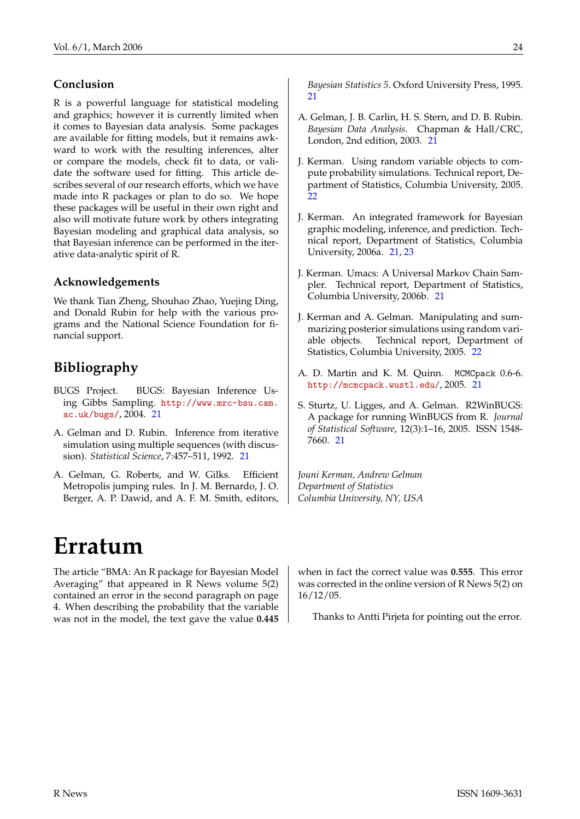#### **Conclusion**

R is a powerful language for statistical modeling and graphics; however it is currently limited when it comes to Bayesian data analysis. Some packages are available for fitting models, but it remains awkward to work with the resulting inferences, alter or compare the models, check fit to data, or validate the software used for fitting. This article describes several of our research efforts, which we have made into R packages or plan to do so. We hope these packages will be useful in their own right and also will motivate future work by others integrating Bayesian modeling and graphical data analysis, so that Bayesian inference can be performed in the iterative data-analytic spirit of R.

#### **Acknowledgements**

We thank Tian Zheng, Shouhao Zhao, Yuejing Ding, and Donald Rubin for help with the various programs and the National Science Foundation for financial support.

### **Bibliography**

- <span id="page-23-3"></span>BUGS Project. BUGS: Bayesian Inference Using Gibbs Sampling. [http://www.mrc-bsu.cam.](http://www.mrc-bsu.cam.ac.uk/bugs/) [ac.uk/bugs/](http://www.mrc-bsu.cam.ac.uk/bugs/), 2004. [21](#page-20-9)
- <span id="page-23-8"></span>A. Gelman and D. Rubin. Inference from iterative simulation using multiple sequences (with discussion). *Statistical Science*, 7:457–511, 1992. [21](#page-20-9)
- <span id="page-23-7"></span>A. Gelman, G. Roberts, and W. Gilks. Efficient Metropolis jumping rules. In J. M. Bernardo, J. O. Berger, A. P. Dawid, and A. F. M. Smith, editors,

## **Erratum**

<span id="page-23-0"></span>The article "BMA: An R package for Bayesian Model Averaging" that appeared in R News volume 5(2) contained an error in the second paragraph on page 4. When describing the probability that the variable was not in the model, the text gave the value **0.445** *Bayesian Statistics 5*. Oxford University Press, 1995. [21](#page-20-9)

- <span id="page-23-1"></span>A. Gelman, J. B. Carlin, H. S. Stern, and D. B. Rubin. *Bayesian Data Analysis*. Chapman & Hall/CRC, London, 2nd edition, 2003. [21](#page-20-9)
- <span id="page-23-10"></span>J. Kerman. Using random variable objects to compute probability simulations. Technical report, Department of Statistics, Columbia University, 2005. [22](#page-21-2)
- <span id="page-23-2"></span>J. Kerman. An integrated framework for Bayesian graphic modeling, inference, and prediction. Technical report, Department of Statistics, Columbia University, 2006a. [21,](#page-20-9) [23](#page-22-2)
- <span id="page-23-6"></span>J. Kerman. Umacs: A Universal Markov Chain Sampler. Technical report, Department of Statistics, Columbia University, 2006b. [21](#page-20-9)
- <span id="page-23-9"></span>J. Kerman and A. Gelman. Manipulating and summarizing posterior simulations using random variable objects. Technical report, Department of Statistics, Columbia University, 2005. [22](#page-21-2)
- <span id="page-23-5"></span>A. D. Martin and K. M. Quinn. MCMCpack 0.6-6. <http://mcmcpack.wustl.edu/>, 2005. [21](#page-20-9)
- <span id="page-23-4"></span>S. Sturtz, U. Ligges, and A. Gelman. R2WinBUGS: A package for running WinBUGS from R. *Journal of Statistical Software*, 12(3):1–16, 2005. ISSN 1548- 7660. [21](#page-20-9)

*Jouni Kerman, Andrew Gelman Department of Statistics Columbia University, NY, USA*

when in fact the correct value was **0.555**. This error was corrected in the online version of R News 5(2) on 16/12/05.

Thanks to Antti Pirjeta for pointing out the error.